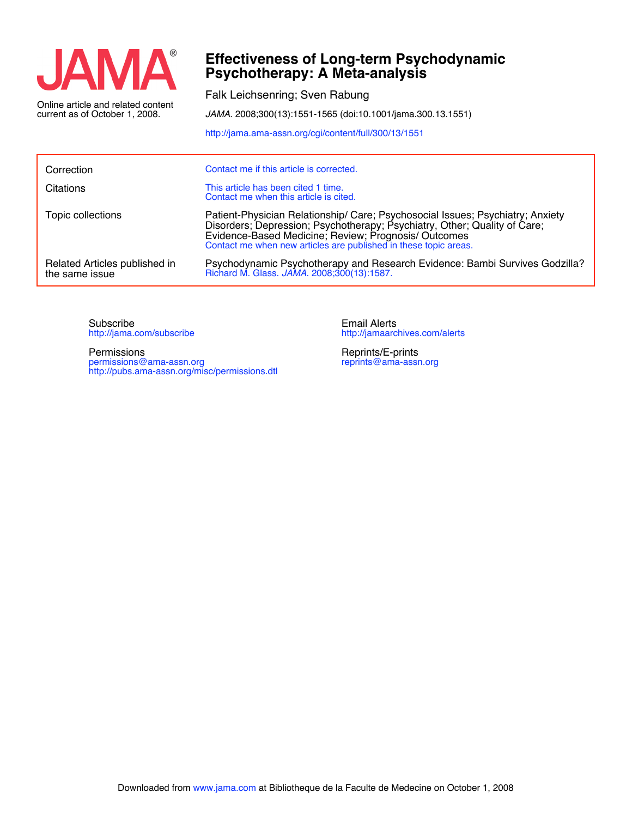

current as of October 1, 2008. Online article and related content

## **Psychotherapy: A Meta-analysis Effectiveness of Long-term Psychodynamic**

Falk Leichsenring; Sven Rabung

*JAMA*. 2008;300(13):1551-1565 (doi:10.1001/jama.300.13.1551)

<http://jama.ama-assn.org/cgi/content/full/300/13/1551>

| Correction                                      | Contact me if this article is corrected.                                                                                                                                                                                                                                                |
|-------------------------------------------------|-----------------------------------------------------------------------------------------------------------------------------------------------------------------------------------------------------------------------------------------------------------------------------------------|
| Citations                                       | This article has been cited 1 time.<br>Contact me when this article is cited.                                                                                                                                                                                                           |
| Topic collections                               | Patient-Physician Relationship/ Care; Psychosocial Issues; Psychiatry; Anxiety<br>Disorders; Depression; Psychotherapy; Psychiatry, Other; Quality of Care;<br>Evidence-Based Medicine; Review; Prognosis/ Outcomes<br>Contact me when new articles are published in these topic areas. |
| Related Articles published in<br>the same issue | Psychodynamic Psychotherapy and Research Evidence: Bambi Survives Godzilla?<br>Richard M. Glass. JAMA. 2008;300(13):1587.                                                                                                                                                               |

<http://jama.com/subscribe> Subscribe

<http://pubs.ama-assn.org/misc/permissions.dtl> permissions@ama-assn.org Permissions

<http://jamaarchives.com/alerts> Email Alerts

[reprints@ama-assn.org](mailto:reprints@ama-assn.org) Reprints/E-prints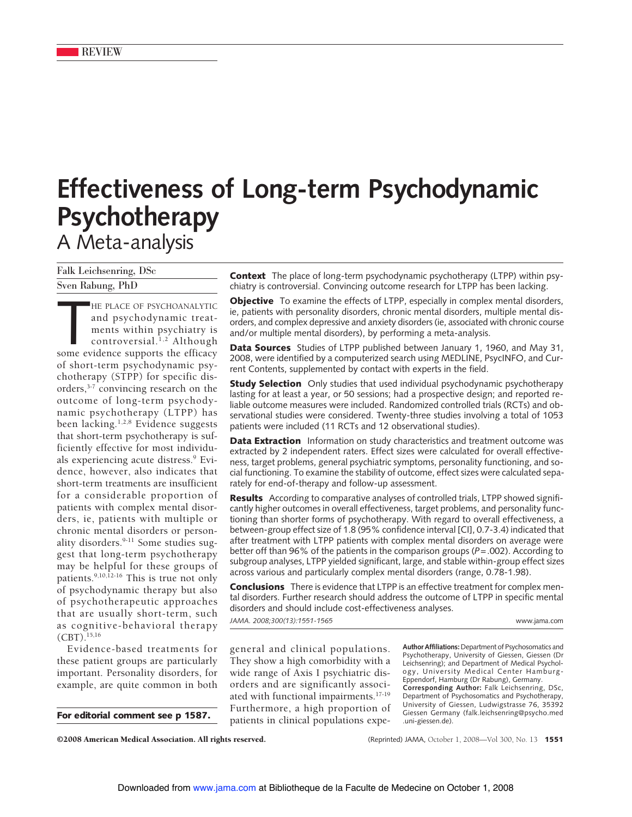# **Effectiveness of Long-term Psychodynamic Psychotherapy** A Meta-analysis

Falk Leichsenring, DSc

Sven Rabung, PhD

HE PLACE OF PSYCHOANALYTIC<br>
and psychodynamic treat-<br>
ments within psychiatry is<br>
controversial.<sup>1,2</sup> Although<br>
some evidence supports the efficacy HE PLACE OF PSYCHOANALYTIC and psychodynamic treatments within psychiatry is controversial.<sup>1,2</sup> Although of short-term psychodynamic psychotherapy (STPP) for specific disorders, $3-7$  convincing research on the outcome of long-term psychodynamic psychotherapy (LTPP) has been lacking.1,2,8 Evidence suggests that short-term psychotherapy is sufficiently effective for most individuals experiencing acute distress.9 Evidence, however, also indicates that short-term treatments are insufficient for a considerable proportion of patients with complex mental disorders, ie, patients with multiple or chronic mental disorders or personality disorders.<sup>9-11</sup> Some studies suggest that long-term psychotherapy may be helpful for these groups of patients.9,10,12-16 This is true not only of psychodynamic therapy but also of psychotherapeutic approaches that are usually short-term, such as cognitive-behavioral therapy  $(CBT)$ .<sup>15,16</sup>

Evidence-based treatments for these patient groups are particularly important. Personality disorders, for example, are quite common in both

**Context** The place of long-term psychodynamic psychotherapy (LTPP) within psychiatry is controversial. Convincing outcome research for LTPP has been lacking.

**Objective** To examine the effects of LTPP, especially in complex mental disorders, ie, patients with personality disorders, chronic mental disorders, multiple mental disorders, and complex depressive and anxiety disorders (ie, associated with chronic course and/or multiple mental disorders), by performing a meta-analysis.

Data Sources Studies of LTPP published between January 1, 1960, and May 31, 2008, were identified by a computerized search using MEDLINE, PsycINFO, and Current Contents, supplemented by contact with experts in the field.

**Study Selection** Only studies that used individual psychodynamic psychotherapy lasting for at least a year, or 50 sessions; had a prospective design; and reported reliable outcome measures were included. Randomized controlled trials (RCTs) and observational studies were considered. Twenty-three studies involving a total of 1053 patients were included (11 RCTs and 12 observational studies).

**Data Extraction** Information on study characteristics and treatment outcome was extracted by 2 independent raters. Effect sizes were calculated for overall effectiveness, target problems, general psychiatric symptoms, personality functioning, and social functioning. To examine the stability of outcome, effect sizes were calculated separately for end-of-therapy and follow-up assessment.

Results According to comparative analyses of controlled trials, LTPP showed significantly higher outcomes in overall effectiveness, target problems, and personality functioning than shorter forms of psychotherapy. With regard to overall effectiveness, a between-group effect size of 1.8 (95% confidence interval [CI], 0.7-3.4) indicated that after treatment with LTPP patients with complex mental disorders on average were better off than 96% of the patients in the comparison groups (*P*=.002). According to subgroup analyses, LTPP yielded significant, large, and stable within-group effect sizes across various and particularly complex mental disorders (range, 0.78-1.98).

**Conclusions** There is evidence that LTPP is an effective treatment for complex mental disorders. Further research should address the outcome of LTPP in specific mental disorders and should include cost-effectiveness analyses.

*JAMA. 2008;300(13):1551-1565* www.jama.com

general and clinical populations. They show a high comorbidity with a wide range of Axis I psychiatric disorders and are significantly associated with functional impairments.17-19 Furthermore, a high proportion of **For editorial comment see p 1587.** patients in clinical populations expe-

**Author Affiliations:** Department of Psychosomatics and Psychotherapy, University of Giessen, Giessen (Dr Leichsenring); and Department of Medical Psychology, University Medical Center Hamburg-Eppendorf, Hamburg (Dr Rabung), Germany. **Corresponding Author:** Falk Leichsenring, DSc, Department of Psychosomatics and Psychotherapy, University of Giessen, Ludwigstrasse 76, 35392 Giessen Germany (falk.leichsenring@psycho.med .uni-giessen.de).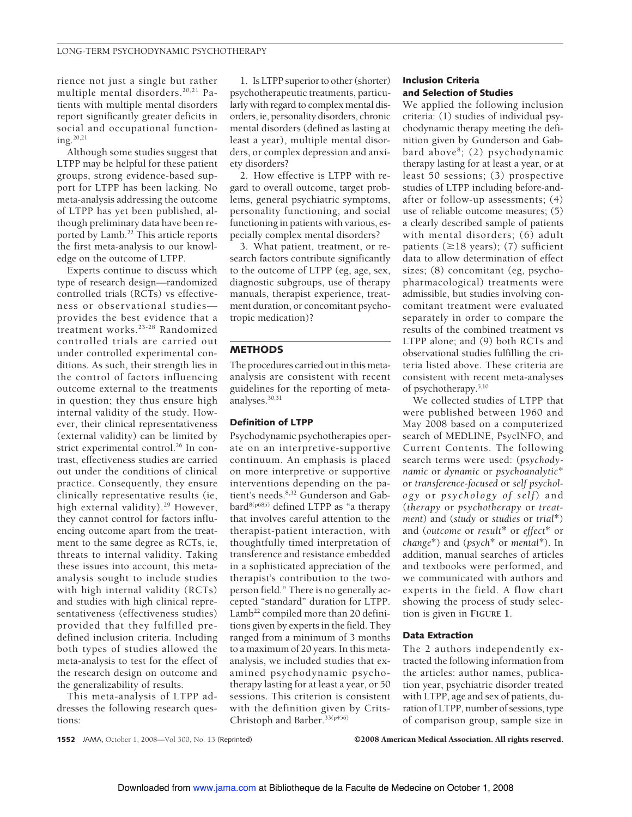rience not just a single but rather multiple mental disorders.20,21 Patients with multiple mental disorders report significantly greater deficits in social and occupational functioning.20,21

Although some studies suggest that LTPP may be helpful for these patient groups, strong evidence-based support for LTPP has been lacking. No meta-analysis addressing the outcome of LTPP has yet been published, although preliminary data have been reported by Lamb.<sup>22</sup> This article reports the first meta-analysis to our knowledge on the outcome of LTPP.

Experts continue to discuss which type of research design—randomized controlled trials (RCTs) vs effectiveness or observational studiesprovides the best evidence that a treatment works.23-28 Randomized controlled trials are carried out under controlled experimental conditions. As such, their strength lies in the control of factors influencing outcome external to the treatments in question; they thus ensure high internal validity of the study. However, their clinical representativeness (external validity) can be limited by strict experimental control.<sup>26</sup> In contrast, effectiveness studies are carried out under the conditions of clinical practice. Consequently, they ensure clinically representative results (ie, high external validity).<sup>29</sup> However, they cannot control for factors influencing outcome apart from the treatment to the same degree as RCTs, ie, threats to internal validity. Taking these issues into account, this metaanalysis sought to include studies with high internal validity (RCTs) and studies with high clinical representativeness (effectiveness studies) provided that they fulfilled predefined inclusion criteria. Including both types of studies allowed the meta-analysis to test for the effect of the research design on outcome and the generalizability of results.

This meta-analysis of LTPP addresses the following research questions:

1. Is LTPP superior to other (shorter) psychotherapeutic treatments, particularly with regard to complex mental disorders, ie, personality disorders, chronic mental disorders (defined as lasting at least a year), multiple mental disorders, or complex depression and anxiety disorders?

2. How effective is LTPP with regard to overall outcome, target problems, general psychiatric symptoms, personality functioning, and social functioning in patients with various, especially complex mental disorders?

3. What patient, treatment, or research factors contribute significantly to the outcome of LTPP (eg, age, sex, diagnostic subgroups, use of therapy manuals, therapist experience, treatment duration, or concomitant psychotropic medication)?

#### METHODS

The procedures carried out in this metaanalysis are consistent with recent guidelines for the reporting of metaanalyses.30,31

#### Definition of LTPP

Psychodynamic psychotherapies operate on an interpretive-supportive continuum. An emphasis is placed on more interpretive or supportive interventions depending on the patient's needs.<sup>8,32</sup> Gunderson and Gab $bard^{8(p685)}$  defined LTPP as "a therapy that involves careful attention to the therapist-patient interaction, with thoughtfully timed interpretation of transference and resistance embedded in a sophisticated appreciation of the therapist's contribution to the twoperson field." There is no generally accepted "standard" duration for LTPP. Lamb<sup>22</sup> compiled more than 20 definitions given by experts in the field. They ranged from a minimum of 3 months to a maximum of 20 years. In this metaanalysis, we included studies that examined psychodynamic psychotherapy lasting for at least a year, or 50 sessions. This criterion is consistent with the definition given by Crits-Christoph and Barber.33(p456)

#### Inclusion Criteria and Selection of Studies

We applied the following inclusion criteria: (1) studies of individual psychodynamic therapy meeting the definition given by Gunderson and Gabbard above<sup>8</sup>; (2) psychodynamic therapy lasting for at least a year, or at least 50 sessions; (3) prospective studies of LTPP including before-andafter or follow-up assessments; (4) use of reliable outcome measures; (5) a clearly described sample of patients with mental disorders; (6) adult patients ( $\geq$ 18 years); (7) sufficient data to allow determination of effect sizes; (8) concomitant (eg, psychopharmacological) treatments were admissible, but studies involving concomitant treatment were evaluated separately in order to compare the results of the combined treatment vs LTPP alone; and (9) both RCTs and observational studies fulfilling the criteria listed above. These criteria are consistent with recent meta-analyses of psychotherapy.5,10

We collected studies of LTPP that were published between 1960 and May 2008 based on a computerized search of MEDLINE, PsycINFO, and Current Contents. The following search terms were used: (*psychodynamic* or *dynamic* or *psychoanalytic*\* or *transference-focused* or *self psychology* o r *p sy c hology of s elf*) a n d (*therapy* or *psychotherapy* or *treatment*) and (*study* or *studies* or *trial*\*) and (*outcome* or *result*\* or *effect*\* or *change*\*) and (*psych*\* or *mental*\*). In addition, manual searches of articles and textbooks were performed, and we communicated with authors and experts in the field. A flow chart showing the process of study selection is given in **FIGURE 1**.

#### Data Extraction

The 2 authors independently extracted the following information from the articles: author names, publication year, psychiatric disorder treated with LTPP, age and sex of patients, duration of LTPP, number of sessions, type of comparison group, sample size in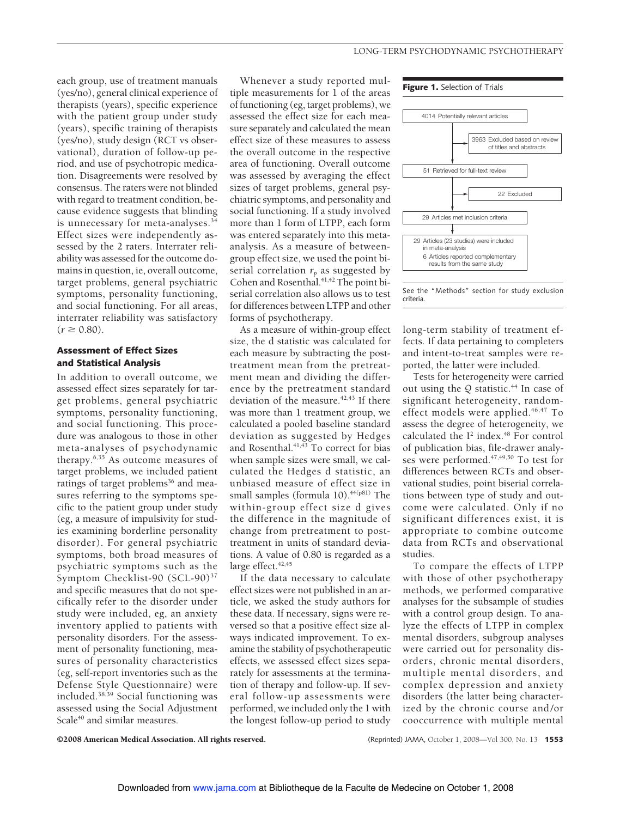each group, use of treatment manuals (yes/no), general clinical experience of therapists (years), specific experience with the patient group under study (years), specific training of therapists (yes/no), study design (RCT vs observational), duration of follow-up period, and use of psychotropic medication. Disagreements were resolved by consensus. The raters were not blinded with regard to treatment condition, because evidence suggests that blinding is unnecessary for meta-analyses.<sup>34</sup> Effect sizes were independently assessed by the 2 raters. Interrater reliability was assessed for the outcome domains in question, ie, overall outcome, target problems, general psychiatric symptoms, personality functioning, and social functioning. For all areas, interrater reliability was satisfactory  $(r \ge 0.80)$ .

## Assessment of Effect Sizes and Statistical Analysis

In addition to overall outcome, we assessed effect sizes separately for target problems, general psychiatric symptoms, personality functioning, and social functioning. This procedure was analogous to those in other meta-analyses of psychodynamic therapy.6,35 As outcome measures of target problems, we included patient ratings of target problems<sup>36</sup> and measures referring to the symptoms specific to the patient group under study (eg, a measure of impulsivity for studies examining borderline personality disorder). For general psychiatric symptoms, both broad measures of psychiatric symptoms such as the Symptom Checklist-90 (SCL-90)<sup>37</sup> and specific measures that do not specifically refer to the disorder under study were included, eg, an anxiety inventory applied to patients with personality disorders. For the assessment of personality functioning, measures of personality characteristics (eg, self-report inventories such as the Defense Style Questionnaire) were included.38,39 Social functioning was assessed using the Social Adjustment Scale<sup>40</sup> and similar measures.

Whenever a study reported multiple measurements for 1 of the areas of functioning (eg, target problems), we assessed the effect size for each measure separately and calculated the mean effect size of these measures to assess the overall outcome in the respective area of functioning. Overall outcome was assessed by averaging the effect sizes of target problems, general psychiatric symptoms, and personality and social functioning. If a study involved more than 1 form of LTPP, each form was entered separately into this metaanalysis. As a measure of betweengroup effect size, we used the point biserial correlation  $r_p$  as suggested by Cohen and Rosenthal.41,42 The point biserial correlation also allows us to test for differences between LTPP and other forms of psychotherapy.

As a measure of within-group effect size, the d statistic was calculated for each measure by subtracting the posttreatment mean from the pretreatment mean and dividing the difference by the pretreatment standard deviation of the measure.<sup>42,43</sup> If there was more than 1 treatment group, we calculated a pooled baseline standard deviation as suggested by Hedges and Rosenthal.<sup>41,43</sup> To correct for bias when sample sizes were small, we calculated the Hedges d statistic, an unbiased measure of effect size in small samples (formula 10). $44(p81)$  The within-group effect size d gives the difference in the magnitude of change from pretreatment to posttreatment in units of standard deviations. A value of 0.80 is regarded as a large effect.<sup>42,45</sup>

If the data necessary to calculate effect sizes were not published in an article, we asked the study authors for these data. If necessary, signs were reversed so that a positive effect size always indicated improvement. To examine the stability of psychotherapeutic effects, we assessed effect sizes separately for assessments at the termination of therapy and follow-up. If several follow-up assessments were performed, we included only the 1 with the longest follow-up period to study



See the "Methods" section for study exclusion criteria.

long-term stability of treatment effects. If data pertaining to completers and intent-to-treat samples were reported, the latter were included.

Tests for heterogeneity were carried out using the *Q* statistic.<sup>44</sup> In case of significant heterogeneity, randomeffect models were applied. $46,47$  To assess the degree of heterogeneity, we calculated the  $I^2$  index.<sup>48</sup> For control of publication bias, file-drawer analyses were performed.47,49,50 To test for differences between RCTs and observational studies, point biserial correlations between type of study and outcome were calculated. Only if no significant differences exist, it is appropriate to combine outcome data from RCTs and observational studies.

To compare the effects of LTPP with those of other psychotherapy methods, we performed comparative analyses for the subsample of studies with a control group design. To analyze the effects of LTPP in complex mental disorders, subgroup analyses were carried out for personality disorders, chronic mental disorders, multiple mental disorders, and complex depression and anxiety disorders (the latter being characterized by the chronic course and /or cooccurrence with multiple mental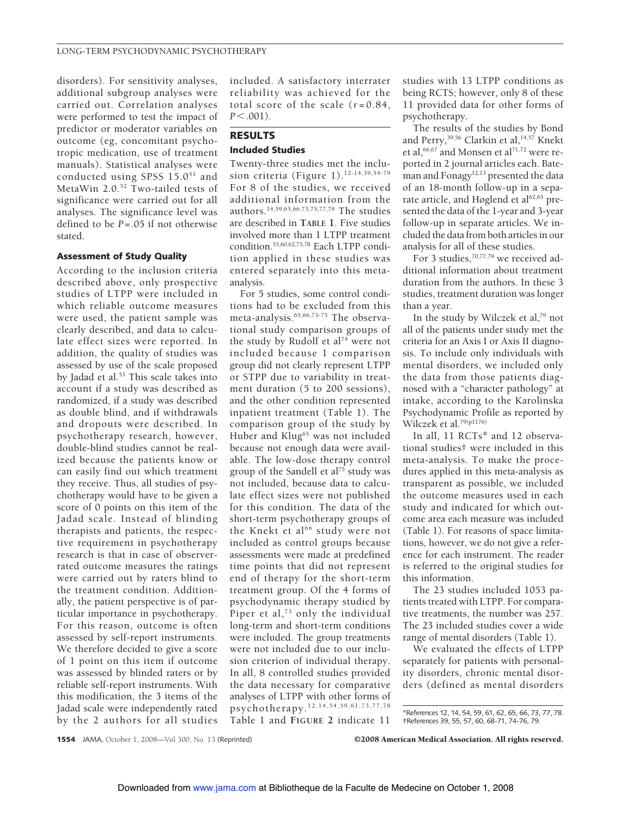disorders). For sensitivity analyses, additional subgroup analyses were carried out. Correlation analyses were performed to test the impact of predictor or moderator variables on outcome (eg, concomitant psychotropic medication, use of treatment manuals). Statistical analyses were conducted using SPSS  $15.0<sup>51</sup>$  and MetaWin 2.0.52 Two-tailed tests of significance were carried out for all analyses. The significance level was defined to be *P*=.05 if not otherwise stated.

#### Assessment of Study Quality

According to the inclusion criteria described above, only prospective studies of LTPP were included in which reliable outcome measures were used, the patient sample was clearly described, and data to calculate effect sizes were reported. In addition, the quality of studies was assessed by use of the scale proposed by Jadad et al.<sup>53</sup> This scale takes into account if a study was described as randomized, if a study was described as double blind, and if withdrawals and dropouts were described. In psychotherapy research, however, double-blind studies cannot be realized because the patients know or can easily find out which treatment they receive. Thus, all studies of psychotherapy would have to be given a score of 0 points on this item of the Jadad scale. Instead of blinding therapists and patients, the respective requirement in psychotherapy research is that in case of observerrated outcome measures the ratings were carried out by raters blind to the treatment condition. Additionally, the patient perspective is of particular importance in psychotherapy. For this reason, outcome is often assessed by self-report instruments. We therefore decided to give a score of 1 point on this item if outcome was assessed by blinded raters or by reliable self-report instruments. With this modification, the 3 items of the Jadad scale were independently rated by the 2 authors for all studies

included. A satisfactory interrater reliability was achieved for the total score of the scale  $(r=0.84,$  $P < .001$ ).

## RESULTS Included Studies

Twenty-three studies met the inclusion criteria (Figure 1).<sup>12-14,39,54-79</sup> For 8 of the studies, we received additional information from the authors.14,59,65,66,73,75,77,79 The studies are described in **TABLE 1**. Five studies involved more than 1 LTPP treatment condition.55,60,62,75,78 Each LTPP condition applied in these studies was entered separately into this metaanalysis.

For 5 studies, some control conditions had to be excluded from this meta-analysis.65,66,73-75 The observational study comparison groups of the study by Rudolf et al<sup>74</sup> were not included because 1 comparison group did not clearly represent LTPP or STPP due to variability in treatment duration (5 to 200 sessions), and the other condition represented inpatient treatment (Table 1). The comparison group of the study by Huber and Klug<sup>65</sup> was not included because not enough data were available. The low-dose therapy control group of the Sandell et al<sup>75</sup> study was not included, because data to calculate effect sizes were not published for this condition. The data of the short-term psychotherapy groups of the Knekt et al<sup>66</sup> study were not included as control groups because assessments were made at predefined time points that did not represent end of therapy for the short-term treatment group. Of the 4 forms of psychodynamic therapy studied by Piper et al, $73$  only the individual long-term and short-term conditions were included. The group treatments were not included due to our inclusion criterion of individual therapy. In all, 8 controlled studies provided the data necessary for comparative analyses of LTPP with other forms of psychotherapy. 12,14,54,59,61,73,77,78 Table 1 and **FIGURE 2** indicate 11

studies with 13 LTPP conditions as being RCTS; however, only 8 of these 11 provided data for other forms of psychotherapy.

The results of the studies by Bond and Perry,  $39,56$  Clarkin et al,  $14,57$  Knekt et al,<sup>66,67</sup> and Monsen et al<sup>71,72</sup> were reported in 2 journal articles each. Bateman and Fonagy<sup>12,13</sup> presented the data of an 18-month follow-up in a separate article, and Høglend et al<sup>62,63</sup> presented the data of the 1-year and 3-year follow-up in separate articles. We included the data from both articles in our analysis for all of these studies.

For 3 studies,70,77,79 we received additional information about treatment duration from the authors. In these 3 studies, treatment duration was longer than a year.

In the study by Wilczek et al,79 not all of the patients under study met the criteria for an Axis I or Axis II diagnosis. To include only individuals with mental disorders, we included only the data from those patients diagnosed with a "character pathology" at intake, according to the Karolinska Psychodynamic Profile as reported by Wilczek et al.<sup>79(p1176)</sup>

In all, 11 RCTs\* and 12 observational studies† were included in this meta-analysis. To make the procedures applied in this meta-analysis as transparent as possible, we included the outcome measures used in each study and indicated for which outcome area each measure was included (Table 1). For reasons of space limitations, however, we do not give a reference for each instrument. The reader is referred to the original studies for this information.

The 23 studies included 1053 patients treated with LTPP. For comparative treatments, the number was 257. The 23 included studies cover a wide range of mental disorders (Table 1).

We evaluated the effects of LTPP separately for patients with personality disorders, chronic mental disorders (defined as mental disorders

<sup>\*</sup>References 12, 14, 54, 59, 61, 62, 65, 66, 73, 77, 78. †References 39, 55, 57, 60, 68-71, 74-76, 79.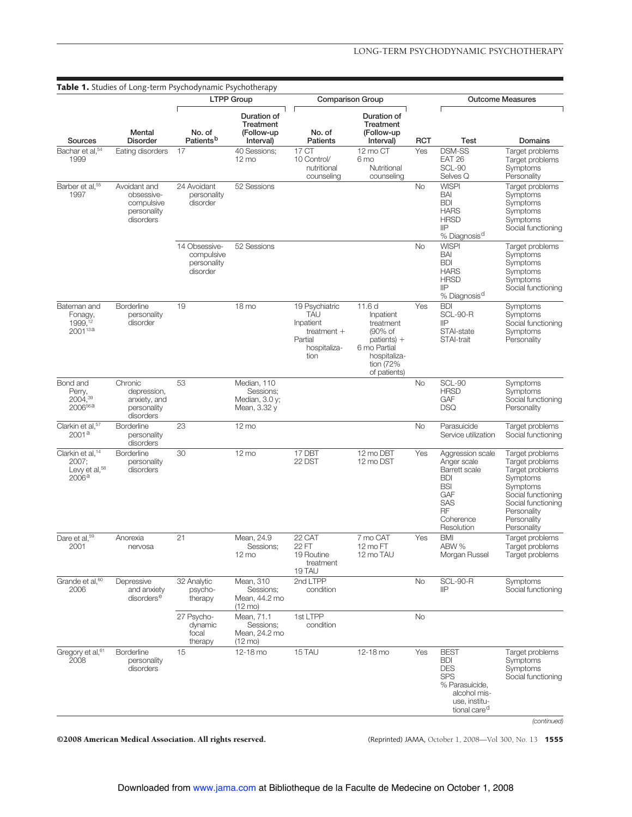## LONG-TERM PSYCHODYNAMIC PSYCHOTHERAPY

|                                                                                         |                                                                      | Table 1. Studies of Long-term Psychodynamic Psychotherapy |                                                               |                                                                                        |                                                                                                                            |            |                                                                                                                                      |                                                                                                                                                                        |
|-----------------------------------------------------------------------------------------|----------------------------------------------------------------------|-----------------------------------------------------------|---------------------------------------------------------------|----------------------------------------------------------------------------------------|----------------------------------------------------------------------------------------------------------------------------|------------|--------------------------------------------------------------------------------------------------------------------------------------|------------------------------------------------------------------------------------------------------------------------------------------------------------------------|
|                                                                                         |                                                                      | <b>LTPP Group</b>                                         |                                                               | <b>Comparison Group</b>                                                                |                                                                                                                            |            | <b>Outcome Measures</b>                                                                                                              |                                                                                                                                                                        |
| Sources                                                                                 | Mental<br><b>Disorder</b>                                            | No. of<br>Patients <sup>b</sup>                           | Duration of<br>Treatment<br>(Follow-up<br>Interval)           | No. of<br>Patients                                                                     | Duration of<br>Treatment<br>(Follow-up<br>Interval)                                                                        | <b>RCT</b> | Test                                                                                                                                 | Domains                                                                                                                                                                |
| Bachar et al. <sup>54</sup>                                                             | Eating disorders                                                     | 17                                                        | 40 Sessions;                                                  | 17 CT                                                                                  | 12 mo CT                                                                                                                   | Yes        | <b>DSM-SS</b>                                                                                                                        | Target problems                                                                                                                                                        |
| 1999                                                                                    |                                                                      |                                                           | $12 \text{ mo}$                                               | 10 Control/<br>nutritional<br>counseling                                               | 6 mo<br>Nutritional<br>counseling                                                                                          |            | <b>EAT 26</b><br>SCL-90<br>Selves Q                                                                                                  | Target problems<br>Symptoms<br>Personality                                                                                                                             |
| Barber et al, <sup>55</sup><br>1997                                                     | Avoidant and<br>obsessive-<br>compulsive<br>personality<br>disorders | 24 Avoidant<br>personality<br>disorder                    | 52 Sessions                                                   |                                                                                        |                                                                                                                            | <b>No</b>  | <b>WISPI</b><br><b>BAI</b><br><b>BDI</b><br><b>HARS</b><br><b>HRSD</b><br><b>IIP</b><br>% Diagnosis <sup>d</sup>                     | Target problems<br>Symptoms<br>Symptoms<br>Symptoms<br>Symptoms<br>Social functioning                                                                                  |
|                                                                                         |                                                                      | 14 Obsessive-<br>compulsive<br>personality<br>disorder    | 52 Sessions                                                   |                                                                                        |                                                                                                                            | <b>No</b>  | <b>WISPI</b><br>BAI<br><b>BDI</b><br><b>HARS</b><br><b>HRSD</b><br>IIP<br>% Diagnosis <sup>d</sup>                                   | Target problems<br>Symptoms<br>Symptoms<br>Symptoms<br>Symptoms<br>Social functioning                                                                                  |
| Bateman and<br>Fonagy,<br>1999,12<br>2001 <sup>13a</sup>                                | Borderline<br>personality<br>disorder                                | 19                                                        | 18 mo                                                         | 19 Psychiatric<br>TAU<br>Inpatient<br>treatment $+$<br>Partial<br>hospitaliza-<br>tion | 11.6d<br>Inpatient<br>treatment<br>(90% of<br>patients $)+$<br>6 mo Partial<br>hospitaliza-<br>tion $(72%$<br>of patients) | Yes        | <b>BDI</b><br>SCL-90-R<br>IIP<br>STAI-state<br>STAI-trait                                                                            | Symptoms<br>Symptoms<br>Social functioning<br>Symptoms<br>Personality                                                                                                  |
| Bond and                                                                                | Chronic                                                              | 53                                                        | Median, 110                                                   |                                                                                        |                                                                                                                            | <b>No</b>  | SCL-90                                                                                                                               | Symptoms                                                                                                                                                               |
| Perry,<br>2004, 39<br>2006 <sup>56a</sup>                                               | depression,<br>anxiety, and<br>personality<br>disorders              |                                                           | Sessions;<br>Median, 3.0 y;<br>Mean, 3.32 y                   |                                                                                        |                                                                                                                            |            | <b>HRSD</b><br>GAF<br><b>DSQ</b>                                                                                                     | Symptoms<br>Social functioning<br>Personality                                                                                                                          |
| Clarkin et al, <sup>57</sup><br>2001 <sup>a</sup>                                       | <b>Borderline</b><br>personality<br>disorders                        | 23                                                        | $12 \text{ mo}$                                               |                                                                                        |                                                                                                                            | <b>No</b>  | Parasuicide<br>Service utilization                                                                                                   | Target problems<br>Social functioning                                                                                                                                  |
| Clarkin et al, <sup>14</sup><br>2007;<br>Levy et al, <sup>58</sup><br>2006 <sup>a</sup> | <b>Borderline</b><br>personality<br>disorders                        | 30                                                        | $12 \text{ mo}$                                               | 17 DBT<br>22 DST                                                                       | 12 mo DBT<br>12 mo DST                                                                                                     | Yes        | Aggression scale<br>Anger scale<br>Barrett scale<br><b>BDI</b><br><b>BSI</b><br>GAF<br><b>SAS</b><br>RF<br>Coherence<br>Resolution   | Target problems<br>Target problems<br>Target problems<br>Symptoms<br>Symptoms<br>Social functioning<br>Social functioning<br>Personality<br>Personality<br>Personality |
| Dare et al. <sup>59</sup><br>2001                                                       | Anorexia<br>nervosa                                                  | 21                                                        | Mean, 24.9<br>Sessions;<br>$12 \text{ mo}$                    | 22 CAT<br>22 FT<br>19 Routine<br>treatment<br>19 TAU                                   | 7 mo CAT<br>12 mo FT<br>12 mo TAU                                                                                          | Yes        | <b>BMI</b><br>ABW %<br>Morgan Russel                                                                                                 | Target problems<br>Target problems<br>Target problems                                                                                                                  |
| Grande et al, <sup>60</sup><br>2006                                                     | Depressive<br>and anxiety<br>disorders <sup>e</sup>                  | 32 Analytic<br>psycho-<br>therapy                         | Mean, 310<br>Sessions:<br>Mean, 44.2 mo<br>$(12 \text{ mo})$  | 2nd LTPP<br>condition                                                                  |                                                                                                                            | <b>No</b>  | SCL-90-R<br>IIP                                                                                                                      | Symptoms<br>Social functioning                                                                                                                                         |
|                                                                                         |                                                                      | 27 Psycho-<br>dynamic<br>focal<br>therapy                 | Mean, 71.1<br>Sessions;<br>Mean, 24.2 mo<br>$(12 \text{ mo})$ | 1st LTPP<br>condition                                                                  |                                                                                                                            | <b>No</b>  |                                                                                                                                      |                                                                                                                                                                        |
| Gregory et al, <sup>61</sup><br>2008                                                    | Borderline<br>personality<br>disorders                               | 15                                                        | 12-18 mo                                                      | 15 TAU                                                                                 | 12-18 mo                                                                                                                   | Yes        | <b>BEST</b><br><b>BDI</b><br><b>DES</b><br><b>SPS</b><br>% Parasuicide,<br>alcohol mis-<br>use, institu-<br>tional care <sup>d</sup> | Target problems<br>Symptoms<br>Symptoms<br>Social functioning                                                                                                          |
|                                                                                         |                                                                      |                                                           |                                                               |                                                                                        |                                                                                                                            |            |                                                                                                                                      | (continued)                                                                                                                                                            |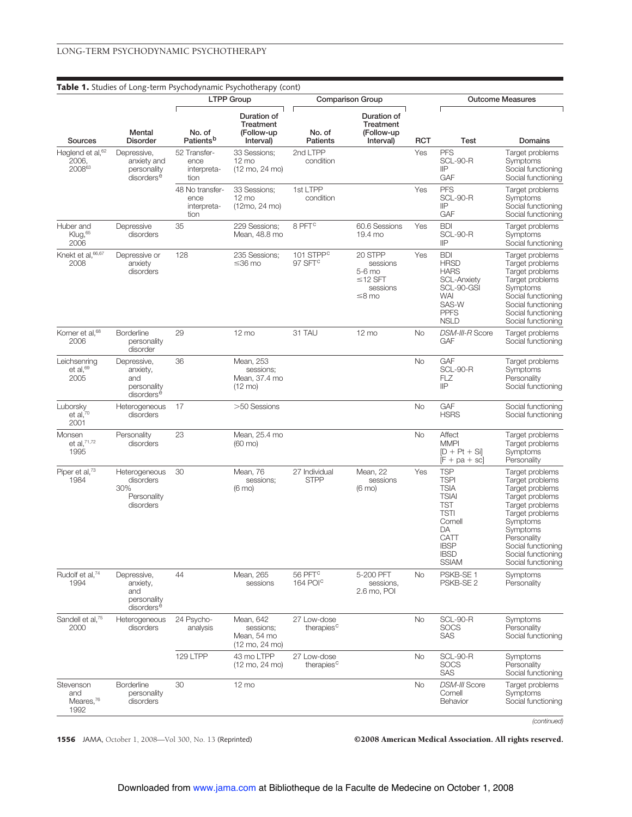## LONG-TERM PSYCHODYNAMIC PSYCHOTHERAPY

|                                                   |                                                                         |                                                | Table 1. Studies of Long-term Psychodynamic Psychotherapy (cont)    |                                              |                                                                           |            |                                                                                                                                                              |                                                                                                                                                                                                                         |
|---------------------------------------------------|-------------------------------------------------------------------------|------------------------------------------------|---------------------------------------------------------------------|----------------------------------------------|---------------------------------------------------------------------------|------------|--------------------------------------------------------------------------------------------------------------------------------------------------------------|-------------------------------------------------------------------------------------------------------------------------------------------------------------------------------------------------------------------------|
|                                                   |                                                                         | <b>LTPP Group</b>                              |                                                                     | <b>Comparison Group</b>                      |                                                                           |            | <b>Outcome Measures</b>                                                                                                                                      |                                                                                                                                                                                                                         |
| Sources                                           | Mental<br><b>Disorder</b>                                               | No. of<br>Patients <sup>b</sup>                | Duration of<br>Treatment<br>(Follow-up<br>Interval)                 | No. of<br><b>Patients</b>                    | Duration of<br>Treatment<br>(Follow-up<br>Interval)                       | <b>RCT</b> | Test                                                                                                                                                         | Domains                                                                                                                                                                                                                 |
| Høglend et al, 62<br>2006,<br>200863              | Depressive,<br>anxiety and<br>personality<br>disorders <sup>e</sup>     | 52 Transfer-<br>ence<br>interpreta-<br>tion    | 33 Sessions;<br>$12 \text{ mo}$<br>$(12 \text{ mo}, 24 \text{ mo})$ | 2nd LTPP<br>condition                        |                                                                           | Yes        | <b>PFS</b><br>SCL-90-R<br>IIP<br>GAF                                                                                                                         | Target problems<br>Symptoms<br>Social functioning<br>Social functioning                                                                                                                                                 |
|                                                   |                                                                         | 48 No transfer-<br>ence<br>interpreta-<br>tion | 33 Sessions;<br>12 mo<br>(12mo, 24 mo)                              | 1st LTPP<br>condition                        |                                                                           | Yes        | <b>PFS</b><br>SCL-90-R<br>IIP<br><b>GAF</b>                                                                                                                  | Target problems<br>Symptoms<br>Social functioning<br>Social functioning                                                                                                                                                 |
| Huber and<br>Klug, 65<br>2006                     | Depressive<br>disorders                                                 | 35                                             | 229 Sessions:<br>Mean, 48.8 mo                                      | 8 PFT <sup>c</sup>                           | 60.6 Sessions<br>19.4 mo                                                  | Yes        | <b>BDI</b><br>SCL-90-R<br>HP                                                                                                                                 | Target problems<br>Symptoms<br>Social functioning                                                                                                                                                                       |
| Knekt et al, 66,67<br>2008                        | Depressive or<br>anxiety<br>disorders                                   | 128                                            | 235 Sessions;<br>$≤36$ mo                                           | 101 STPP <sup>c</sup><br>97 SFT <sup>c</sup> | 20 STPP<br>sessions<br>5-6 mo<br>$\leq$ 12 SFT<br>sessions<br>$\leq$ 8 mo | Yes        | <b>BDI</b><br><b>HRSD</b><br><b>HARS</b><br><b>SCL-Anxiety</b><br>SCL-90-GSI<br><b>WAI</b><br>SAS-W<br><b>PPFS</b><br><b>NSLD</b>                            | Target problems<br>Target problems<br>Target problems<br>Target problems<br>Symptoms<br>Social functioning<br>Social functioning<br>Social functioning<br>Social functioning                                            |
| Korner et al, <sup>68</sup><br>2006               | Borderline<br>personality<br>disorder                                   | 29                                             | $12 \text{ mo}$                                                     | 31 TAU                                       | $12 \text{ mo}$                                                           | No         | DSM-III-R Score<br><b>GAF</b>                                                                                                                                | Target problems<br>Social functioning                                                                                                                                                                                   |
| Leichsenring<br>et al, $69$<br>2005               | Depressive,<br>anxiety,<br>and<br>personality<br>disorders <sup>e</sup> | 36                                             | Mean, 253<br>sessions;<br>Mean, 37.4 mo<br>$(12 \text{ mo})$        |                                              |                                                                           | <b>No</b>  | GAF<br>SCL-90-R<br><b>FLZ</b><br>IIP                                                                                                                         | Target problems<br>Symptoms<br>Personality<br>Social functioning                                                                                                                                                        |
| Luborsky<br>et al, $70$<br>2001                   | Heterogeneous<br>disorders                                              | 17                                             | $>50$ Sessions                                                      |                                              |                                                                           | No         | GAF<br><b>HSRS</b>                                                                                                                                           | Social functioning<br>Social functioning                                                                                                                                                                                |
| Monsen<br>et al, $71,72$<br>1995                  | Personality<br>disorders                                                | 23                                             | Mean, 25.4 mo<br>$(60 \text{ mo})$                                  |                                              |                                                                           | <b>No</b>  | Affect<br><b>MMPI</b><br>$[D + Pt + Si]$<br>$[F + pa + sc]$                                                                                                  | Target problems<br>Target problems<br>Symptoms<br>Personality                                                                                                                                                           |
| Piper et al, <sup>73</sup><br>1984                | Heterogeneous<br>disorders<br>30%<br>Personality<br>disorders           | 30                                             | Mean, 76<br>sessions;<br>(6 mo)                                     | 27 Individual<br><b>STPP</b>                 | Mean, 22<br>sessions<br>(6 mo)                                            | Yes        | <b>TSP</b><br><b>TSPI</b><br><b>TSIA</b><br><b>TSIAI</b><br><b>TST</b><br><b>TSTI</b><br>Cornell<br>DA<br>CATT<br><b>IBSP</b><br><b>IBSD</b><br><b>SSIAM</b> | Target problems<br>Target problems<br>Target problems<br>Target problems<br>Target problems<br>Target problems<br>Symptoms<br>Symptoms<br>Personality<br>Social functioning<br>Social functioning<br>Social functioning |
| Rudolf et al. <sup>74</sup><br>1994               | Depressive,<br>anxiety,<br>and<br>personality<br>disorders <sup>e</sup> | 44                                             | Mean, 265<br>sessions                                               | 56 PFT <sup>c</sup><br>164 POI <sup>c</sup>  | 5-200 PFT<br>sessions,<br>2.6 mo, POI                                     | <b>No</b>  | PSKB-SE1<br>PSKB-SE <sub>2</sub>                                                                                                                             | Symptoms<br>Personality                                                                                                                                                                                                 |
| Sandell et al, <sup>75</sup><br>2000              | Heterogeneous<br>disorders                                              | 24 Psycho-<br>analysis                         | Mean, 642<br>sessions;<br>Mean, 54 mo<br>(12 mo, 24 mo)             | 27 Low-dose<br>therapies <sup>c</sup>        |                                                                           | <b>No</b>  | SCL-90-R<br><b>SOCS</b><br><b>SAS</b>                                                                                                                        | Symptoms<br>Personality<br>Social functioning                                                                                                                                                                           |
|                                                   |                                                                         | 129 LTPP                                       | 43 mo LTPP<br>$(12 \text{ mo}, 24 \text{ mo})$                      | 27 Low-dose<br>therapies <sup>c</sup>        |                                                                           | <b>No</b>  | SCL-90-R<br><b>SOCS</b><br><b>SAS</b>                                                                                                                        | Symptoms<br>Personality<br>Social functioning                                                                                                                                                                           |
| Stevenson<br>and<br>Meares, <sup>76</sup><br>1992 | <b>Borderline</b><br>personality<br>disorders                           | 30                                             | $12 \text{ mo}$                                                     |                                              |                                                                           | No         | <b>DSM-III Score</b><br>Cornell<br>Behavior                                                                                                                  | Target problems<br>Symptoms<br>Social functioning                                                                                                                                                                       |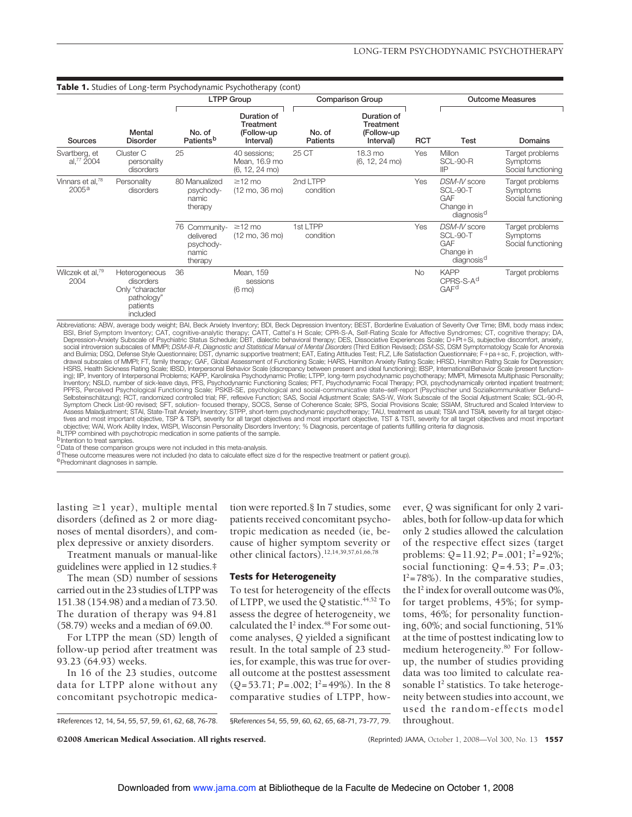| <b>Table 1.</b> Studies of Long-term Psychodynamic Psychotherapy (cont) |                                                                                     |                                                             |                                                            |                           |                                                            |            |                                                                               |                                                   |
|-------------------------------------------------------------------------|-------------------------------------------------------------------------------------|-------------------------------------------------------------|------------------------------------------------------------|---------------------------|------------------------------------------------------------|------------|-------------------------------------------------------------------------------|---------------------------------------------------|
|                                                                         |                                                                                     | <b>LTPP Group</b>                                           |                                                            | <b>Comparison Group</b>   |                                                            |            | <b>Outcome Measures</b>                                                       |                                                   |
| Sources                                                                 | Mental<br><b>Disorder</b>                                                           | No. of<br>Patients <sup>b</sup>                             | Duration of<br><b>Treatment</b><br>(Follow-up<br>Interval) | No. of<br><b>Patients</b> | Duration of<br><b>Treatment</b><br>(Follow-up<br>Interval) | <b>RCT</b> | Test                                                                          | <b>Domains</b>                                    |
| Svartberg, et<br>al, <sup>77</sup> 2004                                 | Cluster C<br>personality<br>disorders                                               | 25                                                          | 40 sessions;<br>Mean, 16.9 mo<br>$(6, 12, 24 \text{ mo})$  | 25 CT                     | 18.3 mo<br>$(6, 12, 24 \text{ mo})$                        | Yes        | Millon<br>SCL-90-R<br>IIP                                                     | Target problems<br>Symptoms<br>Social functioning |
| Vinnars et al. <sup>78</sup><br>$2005^{\text{a}}$                       | Personality<br>disorders                                                            | 80 Manualized<br>psychody-<br>namic<br>therapy              | $\geq$ 12 mo<br>$(12 \text{ mo}, 36 \text{ mo})$           | 2nd LTPP<br>condition     |                                                            | Yes        | DSM-IV score<br>SCL-90-T<br><b>GAF</b><br>Change in<br>diagnosis <sup>d</sup> | Target problems<br>Symptoms<br>Social functioning |
|                                                                         |                                                                                     | 76 Community-<br>delivered<br>psychody-<br>namic<br>therapy | $\geq$ 12 mo<br>$(12 \text{ mo}, 36 \text{ mo})$           | 1st LTPP<br>condition     |                                                            | Yes        | DSM-IV score<br>SCL-90-T<br><b>GAF</b><br>Change in<br>diagnosis <sup>d</sup> | Target problems<br>Symptoms<br>Social functioning |
| Wilczek et al, <sup>79</sup><br>2004                                    | Heterogeneous<br>disorders<br>Only "character<br>pathology"<br>patients<br>included | 36                                                          | Mean, 159<br>sessions<br>$(6 \text{ mo})$                  |                           |                                                            | <b>No</b>  | <b>KAPP</b><br>CPRS-S-A <sup>d</sup><br>GAF <sup>d</sup>                      | Target problems                                   |

Abbreviations: ABW, average body weight; BAI, Beck Anxiety Inventory; BDI, Beck Depression Inventory; BEST, Borderline Evaluation of Severity Over Time; BMI, body mass index;<br>BSI, Brief Symptom Inventory; CAT, cognitive-an social introversion subscales of MMPI; *DSM-III-R, Diagnostic and Statistical Manual of Mental Disorders* (Third Edition Revised); *DSM-SS*, DSM Symptomatology Scale for Anorexia<br>and Bulimia; DSQ, Defense Style Questionnai drawal subscales of MMPI; FT, family therapy; GAF, Global Assessment of Functioning Scale; HARS, Hamilton Anxiety Rating Scale; HRSD, Hamilton Rating Scale for Depression;<br>HSRS, Health Sickness Rating Scale; IBSD, Interper Symptom Check List-90 revised; SFT, solution- focused therapy, SOCS, Sense of Coherence Scale; SPS, Social Provisions Scale; SSIAM, Structured and Scaled Interview to<br>Assess Maladjustment; STAI, State-Trait Anxiety Invento

b<sub>Intention to treat samples</sub>

c monton to these comparison groups were not included in this meta-analysis.

dThese outcome measures were not included (no data to calculate effect size d for the respective treatment or patient group).

ePredominant diagnoses in sample.

lasting  $\geq 1$  year), multiple mental disorders (defined as 2 or more diagnoses of mental disorders), and complex depressive or anxiety disorders.

Treatment manuals or manual-like guidelines were applied in 12 studies.‡

The mean (SD) number of sessions carried out in the 23 studies of LTPP was 151.38 (154.98) and a median of 73.50. The duration of therapy was 94.81 (58.79) weeks and a median of 69.00.

For LTPP the mean (SD) length of follow-up period after treatment was 93.23 (64.93) weeks.

In 16 of the 23 studies, outcome data for LTPP alone without any concomitant psychotropic medication were reported.§ In 7 studies, some patients received concomitant psychotropic medication as needed (ie, because of higher symptom severity or other clinical factors).12,14,39,57,61,66,78

#### Tests for Heterogeneity

To test for heterogeneity of the effects of LTPP, we used the *Q* statistic.44,52 To assess the degree of heterogeneity, we calculated the  $I^2$  index.<sup>48</sup> For some outcome analyses, *Q* yielded a significant result. In the total sample of 23 studies, for example, this was true for overall outcome at the posttest assessment (*Q*=53.71; *P*=.002; I2=49%). In the 8 comparative studies of LTPP, how-

ever, *Q* was significant for only 2 variables, both for follow-up data for which only 2 studies allowed the calculation of the respective effect sizes (target problems: *Q*=11.92; *P*=.001; I2=92%; social functioning: *Q*= 4.53; *P*=.03;  $I^2$ =78%). In the comparative studies, the  $I^2$  index for overall outcome was  $0\%$ , for target problems, 45%; for symptoms, 46%; for personality functioning, 60%; and social functioning, 51% at the time of posttest indicating low to medium heterogeneity.80 For followup, the number of studies providing data was too limited to calculate reasonable  $I^2$  statistics. To take heterogeneity between studies into account, we used the random-effects model ‡References 12, 14, 54, 55, 57, 59, 61, 62, 68, 76-78. §References 54, 55, 59, 60, 62, 65, 68-71, 73-77, 79. throughout.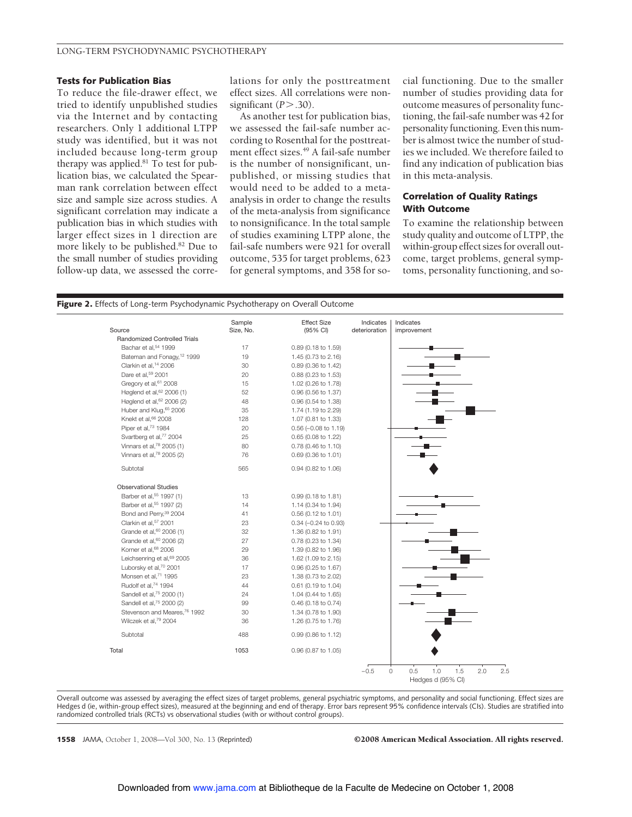#### Tests for Publication Bias

To reduce the file-drawer effect, we tried to identify unpublished studies via the Internet and by contacting researchers. Only 1 additional LTPP study was identified, but it was not included because long-term group therapy was applied.<sup>81</sup> To test for publication bias, we calculated the Spearman rank correlation between effect size and sample size across studies. A significant correlation may indicate a publication bias in which studies with larger effect sizes in 1 direction are more likely to be published.<sup>82</sup> Due to the small number of studies providing follow-up data, we assessed the correlations for only the posttreatment effect sizes. All correlations were nonsignificant  $(P > .30)$ .

As another test for publication bias, we assessed the fail-safe number according to Rosenthal for the posttreatment effect sizes.<sup>49</sup> A fail-safe number is the number of nonsignificant, unpublished, or missing studies that would need to be added to a metaanalysis in order to change the results of the meta-analysis from significance to nonsignificance. In the total sample of studies examining LTPP alone, the fail-safe numbers were 921 for overall outcome, 535 for target problems, 623 for general symptoms, and 358 for so-

cial functioning. Due to the smaller number of studies providing data for outcome measures of personality functioning, the fail-safe number was 42 for personality functioning. Even this number is almost twice the number of studies we included. We therefore failed to find any indication of publication bias in this meta-analysis.

#### Correlation of Quality Ratings With Outcome

To examine the relationship between study quality and outcome of LTPP, the within-group effect sizes for overall outcome, target problems, general symptoms, personality functioning, and so-



Overall outcome was assessed by averaging the effect sizes of target problems, general psychiatric symptoms, and personality and social functioning. Effect sizes are Hedges d (ie, within-group effect sizes), measured at the beginning and end of therapy. Error bars represent 95% confidence intervals (CIs). Studies are stratified into randomized controlled trials (RCTs) vs observational studies (with or without control groups).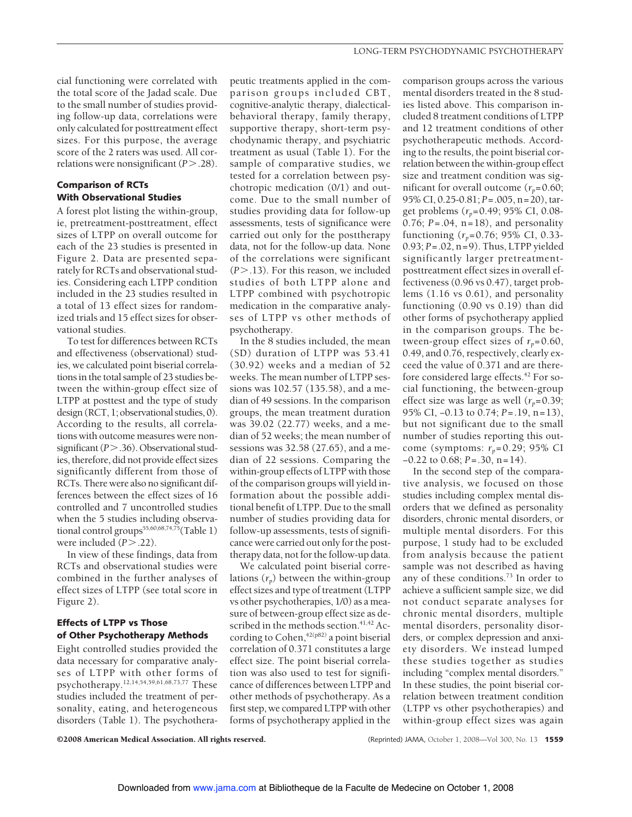cial functioning were correlated with the total score of the Jadad scale. Due to the small number of studies providing follow-up data, correlations were only calculated for posttreatment effect sizes. For this purpose, the average score of the 2 raters was used. All correlations were nonsignificant  $(P > .28)$ .

## Comparison of RCTs With Observational Studies

A forest plot listing the within-group, ie, pretreatment-posttreatment, effect sizes of LTPP on overall outcome for each of the 23 studies is presented in Figure 2. Data are presented separately for RCTs and observational studies. Considering each LTPP condition included in the 23 studies resulted in a total of 13 effect sizes for randomized trials and 15 effect sizes for observational studies.

To test for differences between RCTs and effectiveness (observational) studies, we calculated point biserial correlations in the total sample of 23 studies between the within-group effect size of LTPP at posttest and the type of study design (RCT, 1; observational studies, 0). According to the results, all correlations with outcome measures were nonsignificant ( $P > .36$ ). Observational studies, therefore, did not provide effect sizes significantly different from those of RCTs. There were also no significant differences between the effect sizes of 16 controlled and 7 uncontrolled studies when the 5 studies including observational control groups<sup>55,60,68,74,75</sup>(Table 1) were included  $(P > .22)$ .

In view of these findings, data from RCTs and observational studies were combined in the further analyses of effect sizes of LTPP (see total score in Figure 2).

## Effects of LTPP vs Those of Other Psychotherapy Methods

Eight controlled studies provided the data necessary for comparative analyses of LTPP with other forms of psychotherapy.12,14,54,59,61,68,73,77 These studies included the treatment of personality, eating, and heterogeneous disorders (Table 1). The psychotherapeutic treatments applied in the comparison groups included CBT, cognitive-analytic therapy, dialecticalbehavioral therapy, family therapy, supportive therapy, short-term psychodynamic therapy, and psychiatric treatment as usual (Table 1). For the sample of comparative studies, we tested for a correlation between psychotropic medication (0/1) and outcome. Due to the small number of studies providing data for follow-up assessments, tests of significance were carried out only for the posttherapy data, not for the follow-up data. None of the correlations were significant  $(P > .13)$ . For this reason, we included studies of both LTPP alone and LTPP combined with psychotropic medication in the comparative analyses of LTPP vs other methods of psychotherapy.

In the 8 studies included, the mean (SD) duration of LTPP was 53.41 (30.92) weeks and a median of 52 weeks. The mean number of LTPP sessions was 102.57 (135.58), and a median of 49 sessions. In the comparison groups, the mean treatment duration was 39.02 (22.77) weeks, and a median of 52 weeks; the mean number of sessions was 32.58 (27.65), and a median of 22 sessions. Comparing the within-group effects of LTPP with those of the comparison groups will yield information about the possible additional benefit of LTPP. Due to the small number of studies providing data for follow-up assessments, tests of significance were carried out only for the posttherapy data, not for the follow-up data.

We calculated point biserial correlations  $(r_p)$  between the within-group effect sizes and type of treatment (LTPP vs other psychotherapies, 1/0) as a measure of between-group effect size as described in the methods section.<sup>41,42</sup> According to Cohen,<sup>42(p82)</sup> a point biserial correlation of 0.371 constitutes a large effect size. The point biserial correlation was also used to test for significance of differences between LTPP and other methods of psychotherapy. As a first step, we compared LTPP with other forms of psychotherapy applied in the

comparison groups across the various mental disorders treated in the 8 studies listed above. This comparison included 8 treatment conditions of LTPP and 12 treatment conditions of other psychotherapeutic methods. According to the results, the point biserial correlation between the within-group effect size and treatment condition was significant for overall outcome  $(r_p=0.60)$ ; 95% CI, 0.25-0.81; *P*=.005, n=20), target problems (*rp*=0.49; 95% CI, 0.08- 0.76;  $P = .04$ ,  $n = 18$ ), and personality functioning  $(r_p=0.76; 95\% \text{ CI}, 0.33-$ 0.93; *P*=.02, n=9). Thus, LTPP yielded significantly larger pretreatmentposttreatment effect sizes in overall effectiveness (0.96 vs 0.47), target problems (1.16 vs 0.61), and personality functioning (0.90 vs 0.19) than did other forms of psychotherapy applied in the comparison groups. The between-group effect sizes of  $r_p = 0.60$ , 0.49, and 0.76, respectively, clearly exceed the value of 0.371 and are therefore considered large effects.<sup>42</sup> For social functioning, the between-group effect size was large as well  $(r_p=0.39)$ ; 95% CI, −0.13 to 0.74; *P*=.19, n=13), but not significant due to the small number of studies reporting this outcome (symptoms:  $r_p = 0.29$ ; 95% CI −0.22 to 0.68; *P*=.30, n=14).

In the second step of the comparative analysis, we focused on those studies including complex mental disorders that we defined as personality disorders, chronic mental disorders, or multiple mental disorders. For this purpose, 1 study had to be excluded from analysis because the patient sample was not described as having any of these conditions.73 In order to achieve a sufficient sample size, we did not conduct separate analyses for chronic mental disorders, multiple mental disorders, personality disorders, or complex depression and anxiety disorders. We instead lumped these studies together as studies including "complex mental disorders." In these studies, the point biserial correlation between treatment condition (LTPP vs other psychotherapies) and within-group effect sizes was again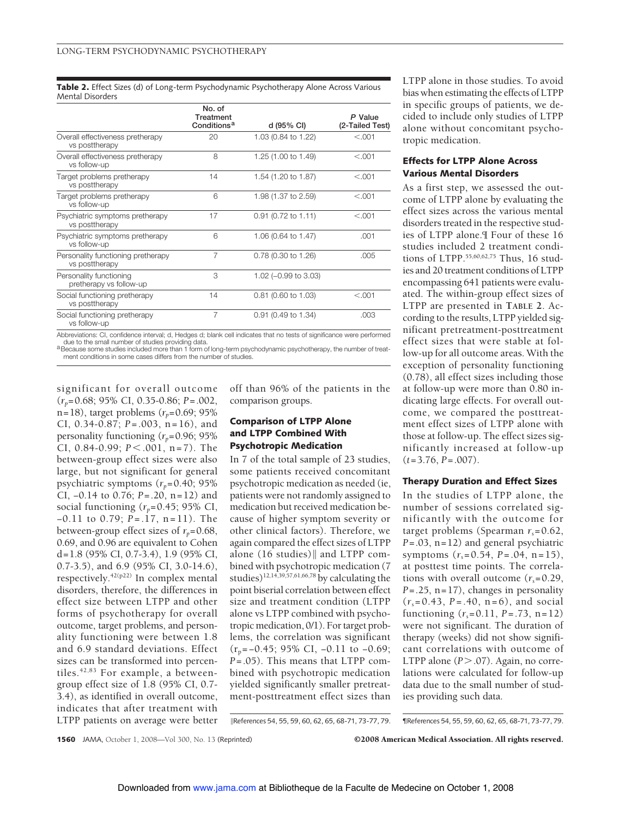Table 2. Effect Sizes (d) of Long-term Psychodynamic Psychotherapy Alone Across Various Mental Disorders

|                                                      | No. of<br><b>Treatment</b><br>Conditions <sup>a</sup> | d (95% CI)             | P Value<br>(2-Tailed Test) |
|------------------------------------------------------|-------------------------------------------------------|------------------------|----------------------------|
| Overall effectiveness pretherapy<br>vs posttherapy   | 20                                                    | 1.03 (0.84 to 1.22)    | < .001                     |
| Overall effectiveness pretherapy<br>vs follow-up     | 8                                                     | 1.25 (1.00 to 1.49)    | < 0.001                    |
| Target problems pretherapy<br>vs posttherapy         | 14                                                    | 1.54 (1.20 to 1.87)    | < 0.01                     |
| Target problems pretherapy<br>vs follow-up           | 6                                                     | 1.98 (1.37 to 2.59)    | < 0.01                     |
| Psychiatric symptoms pretherapy<br>vs posttherapy    | 17                                                    | $0.91$ (0.72 to 1.11)  | < 0.001                    |
| Psychiatric symptoms pretherapy<br>vs follow-up      | 6                                                     | 1.06 (0.64 to 1.47)    | .001                       |
| Personality functioning pretherapy<br>vs posttherapy | $\overline{7}$                                        | 0.78 (0.30 to 1.26)    | .005                       |
| Personality functioning<br>pretherapy vs follow-up   | 3                                                     | 1.02 $(-0.99$ to 3.03) |                            |
| Social functioning pretherapy<br>vs posttherapy      | 14                                                    | 0.81 (0.60 to 1.03)    | < 0.001                    |
| Social functioning pretherapy<br>vs follow-up        | $\overline{7}$                                        | 0.91 (0.49 to 1.34)    | .003                       |

Abbreviations: CI, confidence interval; d, Hedges d; blank cell indicates that no tests of significance were performed<br>due to the small number of studies providing data.

a Because some studies included more than 1 form of long-term psychodynamic psychotherapy, the number of treatment conditions in some cases differs from the number of studies.

significant for overall outcome (*rp*=0.68; 95% CI, 0.35-0.86; *P*=.002, n=18), target problems  $(r_p=0.69; 95\%)$ CI, 0.34-0.87; *P*=.003, n=16), and personality functioning  $(r_p=0.96; 95\%)$ CI, 0.84-0.99;  $P < .001$ , n = 7). The between-group effect sizes were also large, but not significant for general psychiatric symptoms  $(r_p=0.40; 95\%)$ CI, −0.14 to 0.76; *P*=.20, n=12) and social functioning  $(r_p=0.45; 95\% \text{ CI},$ −0.11 to 0.79; *P* = .17, n = 11). The between-group effect sizes of  $r_p = 0.68$ , 0.69, and 0.96 are equivalent to Cohen d=1.8 (95% CI, 0.7-3.4), 1.9 (95% CI, 0.7-3.5), and 6.9 (95% CI, 3.0-14.6), respectively.<sup>42(p22)</sup> In complex mental disorders, therefore, the differences in effect size between LTPP and other forms of psychotherapy for overall outcome, target problems, and personality functioning were between 1.8 and 6.9 standard deviations. Effect sizes can be transformed into percentiles.<sup>42,83</sup> For example, a betweengroup effect size of 1.8 (95% CI, 0.7- 3.4), as identified in overall outcome, indicates that after treatment with LTPP patients on average were better off than 96% of the patients in the comparison groups.

#### Comparison of LTPP Alone and LTPP Combined With Psychotropic Medication

In 7 of the total sample of 23 studies, some patients received concomitant psychotropic medication as needed (ie, patients were not randomly assigned to medication but received medication because of higher symptom severity or other clinical factors). Therefore, we again compared the effect sizes of LTPP alone (16 studies) $\parallel$  and LTPP combined with psychotropic medication (7 studies)<sup>12,14,39,57,61,66,78</sup> by calculating the point biserial correlation between effect size and treatment condition (LTPP alone vs LTPP combined with psychotropic medication, 0/1). For target problems, the correlation was significant  $(r_p = -0.45; 95\% \text{ CI}, -0.11 \text{ to } -0.69;$ *P*=.05). This means that LTPP combined with psychotropic medication yielded significantly smaller pretreatment-posttreatment effect sizes than

LTPP alone in those studies. To avoid bias when estimating the effects of LTPP in specific groups of patients, we decided to include only studies of LTPP alone without concomitant psychotropic medication.

## Effects for LTPP Alone Across Various Mental Disorders

As a first step, we assessed the outcome of LTPP alone by evaluating the effect sizes across the various mental disorders treated in the respective studies of LTPP alone.¶ Four of these 16 studies included 2 treatment conditions of LTPP.55,60,62,75 Thus, 16 studies and 20 treatment conditions of LTPP encompassing 641 patients were evaluated. The within-group effect sizes of LTPP are presented in **TABLE 2**. According to the results, LTPP yielded significant pretreatment-posttreatment effect sizes that were stable at follow-up for all outcome areas. With the exception of personality functioning (0.78), all effect sizes including those at follow-up were more than 0.80 indicating large effects. For overall outcome, we compared the posttreatment effect sizes of LTPP alone with those at follow-up. The effect sizes significantly increased at follow-up (*t*=3.76, *P*=.007).

#### Therapy Duration and Effect Sizes

In the studies of LTPP alone, the number of sessions correlated significan tly wi th the ou tcome for target problems (Spearman  $r_s = 0.62$ , *P*=.03, n=12) and general psychiatric symptoms  $(r_s = 0.54, P = .04, n = 15)$ , at posttest time points. The correlations with overall outcome  $(r_s = 0.29)$ , *P*=.25, n=17), changes in personality  $(r_s = 0.43, P = .40, n = 6)$ , and social functioning  $(r_s = 0.11, P = .73, n = 12)$ were not significant. The duration of therapy (weeks) did not show significant correlations with outcome of LTPP alone  $(P > .07)$ . Again, no correlations were calculated for follow-up data due to the small number of studies providing such data.

!References 54, 55, 59, 60, 62, 65, 68-71, 73-77, 79. ¶References 54, 55, 59, 60, 62, 65, 68-71, 73-77, 79.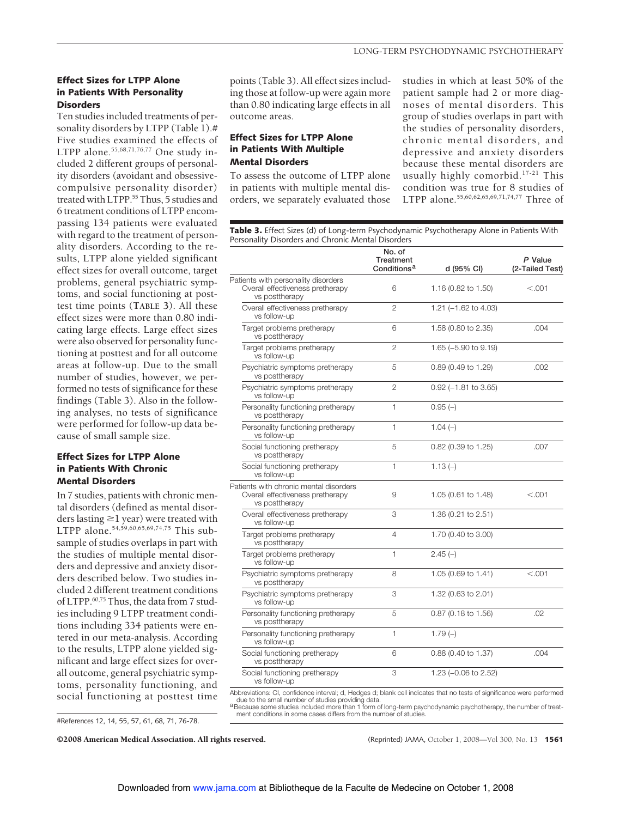## Effect Sizes for LTPP Alone in Patients With Personality **Disorders**

Ten studies included treatments of personality disorders by LTPP (Table 1).# Five studies examined the effects of LTPP alone.<sup>55,68,71,76,77</sup> One study included 2 different groups of personality disorders (avoidant and obsessivecompulsive personality disorder) treated with LTPP.<sup>55</sup> Thus, 5 studies and 6 treatment conditions of LTPP encompassing 134 patients were evaluated with regard to the treatment of personality disorders. According to the results, LTPP alone yielded significant effect sizes for overall outcome, target problems, general psychiatric symptoms, and social functioning at posttest time points (**TABLE 3**). All these effect sizes were more than 0.80 indicating large effects. Large effect sizes were also observed for personality functioning at posttest and for all outcome areas at follow-up. Due to the small number of studies, however, we performed no tests of significance for these findings (Table 3). Also in the following analyses, no tests of significance were performed for follow-up data because of small sample size.

#### Effect Sizes for LTPP Alone in Patients With Chronic Mental Disorders

In 7 studies, patients with chronic mental disorders (defined as mental disorders lasting  $\geq$ 1 year) were treated with LTPP alone.54,59,60,65,69,74,75 This subsample of studies overlaps in part with the studies of multiple mental disorders and depressive and anxiety disorders described below. Two studies included 2 different treatment conditions of LTPP.<sup>60,75</sup> Thus, the data from 7 studies including 9 LTPP treatment conditions including 334 patients were entered in our meta-analysis. According to the results, LTPP alone yielded significant and large effect sizes for overall outcome, general psychiatric symptoms, personality functioning, and social functioning at posttest time points (Table 3). All effect sizes including those at follow-up were again more than 0.80 indicating large effects in all outcome areas.

#### Effect Sizes for LTPP Alone in Patients With Multiple Mental Disorders

To assess the outcome of LTPP alone in patients with multiple mental disorders, we separately evaluated those studies in which at least 50% of the patient sample had 2 or more diagnoses of mental disorders. This group of studies overlaps in part with the studies of personality disorders, chronic mental disorders, and depressive and anxiety disorders because these mental disorders are usually highly comorbid.17-21 This condition was true for 8 studies of LTPP alone.<sup>55,60,62,65,69,71,74,77</sup> Three of

Table 3. Effect Sizes (d) of Long-term Psychodynamic Psychotherapy Alone in Patients With Personality Disorders and Chronic Mental Disorders

|                                                                                              | No. of<br><b>Treatment</b><br>Conditions <sup>a</sup> | d (95% CI)                   | P Value<br>(2-Tailed Test) |
|----------------------------------------------------------------------------------------------|-------------------------------------------------------|------------------------------|----------------------------|
| Patients with personality disorders<br>Overall effectiveness pretherapy<br>vs posttherapy    | 6                                                     | 1.16 (0.82 to 1.50)          | < 0.001                    |
| Overall effectiveness pretherapy<br>vs follow-up                                             | $\overline{2}$                                        | 1.21 $(-1.62$ to 4.03)       |                            |
| Target problems pretherapy<br>vs posttherapy                                                 | 6                                                     | 1.58 (0.80 to 2.35)          | .004                       |
| Target problems pretherapy<br>vs follow-up                                                   | $\overline{2}$                                        | $1.65$ ( $-5.90$ to $9.19$ ) |                            |
| Psychiatric symptoms pretherapy<br>vs posttherapy                                            | 5                                                     | 0.89 (0.49 to 1.29)          | .002                       |
| Psychiatric symptoms pretherapy<br>vs follow-up                                              | $\overline{2}$                                        | $0.92$ (-1.81 to 3.65)       |                            |
| Personality functioning pretherapy<br>vs posttherapy                                         | $\mathbf{1}$                                          | $0.95(-)$                    |                            |
| Personality functioning pretherapy<br>vs follow-up                                           | 1                                                     | $1.04(-)$                    |                            |
| Social functioning pretherapy<br>vs posttherapy                                              | 5                                                     | 0.82 (0.39 to 1.25)          | .007                       |
| Social functioning pretherapy<br>vs follow-up                                                | 1                                                     | $1.13(-)$                    |                            |
| Patients with chronic mental disorders<br>Overall effectiveness pretherapy<br>vs posttherapy | 9                                                     | 1.05 (0.61 to 1.48)          | < 0.001                    |
| Overall effectiveness pretherapy<br>vs follow-up                                             | 3                                                     | 1.36 (0.21 to 2.51)          |                            |
| Target problems pretherapy<br>vs posttherapy                                                 | 4                                                     | 1.70 (0.40 to 3.00)          |                            |
| Target problems pretherapy<br>vs follow-up                                                   | $\mathbf{1}$                                          | $2.45(-)$                    |                            |
| Psychiatric symptoms pretherapy<br>vs posttherapy                                            | 8                                                     | 1.05 (0.69 to 1.41)          | < 0.001                    |
| Psychiatric symptoms pretherapy<br>vs follow-up                                              | 3                                                     | 1.32 (0.63 to 2.01)          |                            |
| Personality functioning pretherapy<br>vs posttherapy                                         | 5                                                     | 0.87 (0.18 to 1.56)          | .02                        |
| Personality functioning pretherapy<br>vs follow-up                                           | $\mathbf{1}$                                          | $1.79(-)$                    |                            |
| Social functioning pretherapy<br>vs posttherapy                                              | 6                                                     | 0.88 (0.40 to 1.37)          | .004                       |
| Social functioning pretherapy<br>vs follow-up                                                | 3                                                     | 1.23 (-0.06 to 2.52)         |                            |

Abbreviations: CI, confidence interval; d, Hedges d; blank cell indicates that no tests of significance were performed

due to the small number of studies providing data.<br><sup>4</sup> Because some studies included more than 1 form of long-term psychodynamic psychotherapy, the number of treat-<br>ment conditions in some cases differs from the number of

#References 12, 14, 55, 57, 61, 68, 71, 76-78.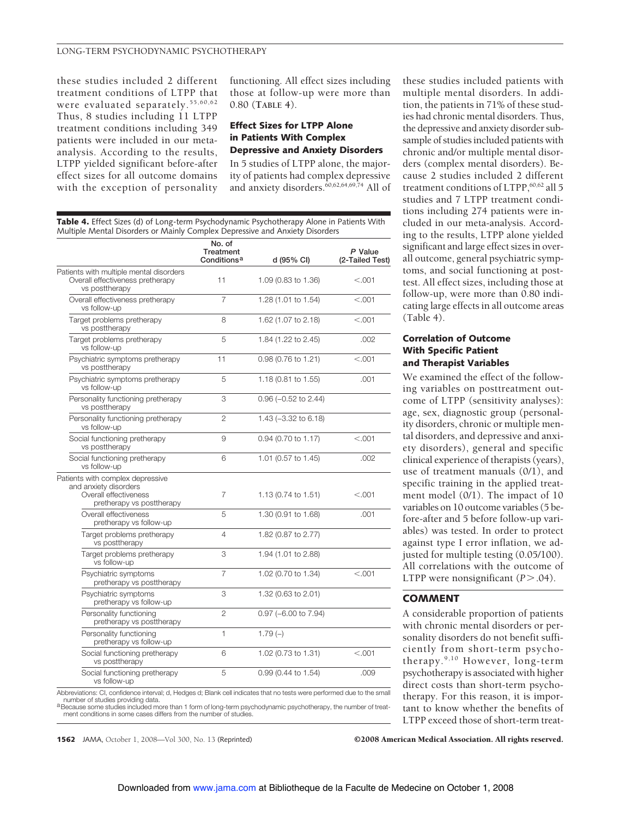these studies included 2 different treatment conditions of LTPP that were evaluated separately.<sup>55,60,62</sup> Thus, 8 studies including 11 LTPP treatment conditions including 349 patients were included in our metaanalysis. According to the results, LTPP yielded significant before-after effect sizes for all outcome domains with the exception of personality functioning. All effect sizes including those at follow-up were more than 0.80 (**TABLE 4**).

#### Effect Sizes for LTPP Alone in Patients With Complex Depressive and Anxiety Disorders

In 5 studies of LTPP alone, the majority of patients had complex depressive and anxiety disorders.60,62,64,69,74 All of

|                                                                                                                 | No. of<br>Treatment<br>Conditions <sup>a</sup> | d (95% CI)             | P Value<br>(2-Tailed Test) |
|-----------------------------------------------------------------------------------------------------------------|------------------------------------------------|------------------------|----------------------------|
| Patients with multiple mental disorders<br>Overall effectiveness pretherapy<br>vs posttherapy                   | 11                                             | 1.09 (0.83 to 1.36)    | < 0.001                    |
| Overall effectiveness pretherapy<br>vs follow-up                                                                | $\overline{7}$                                 | 1.28 (1.01 to 1.54)    | < .001                     |
| Target problems pretherapy<br>vs posttherapy                                                                    | 8                                              | 1.62 (1.07 to 2.18)    | < 0.001                    |
| Target problems pretherapy<br>vs follow-up                                                                      | 5                                              | 1.84 (1.22 to 2.45)    | .002                       |
| Psychiatric symptoms pretherapy<br>vs posttherapy                                                               | 11                                             | 0.98 (0.76 to 1.21)    | < .001                     |
| Psychiatric symptoms pretherapy<br>vs follow-up                                                                 | 5                                              | 1.18 (0.81 to 1.55)    | .001                       |
| Personality functioning pretherapy<br>vs posttherapy                                                            | 3                                              | $0.96$ (-0.52 to 2.44) |                            |
| Personality functioning pretherapy<br>vs follow-up                                                              | $\overline{2}$                                 | 1.43 (-3.32 to 6.18)   |                            |
| Social functioning pretherapy<br>vs posttherapy                                                                 | 9                                              | 0.94 (0.70 to 1.17)    | < 0.001                    |
| Social functioning pretherapy<br>vs follow-up                                                                   | 6                                              | 1.01 (0.57 to 1.45)    | .002                       |
| Patients with complex depressive<br>and anxiety disorders<br>Overall effectiveness<br>pretherapy vs posttherapy | 7                                              | 1.13 (0.74 to 1.51)    | < 0.001                    |
| Overall effectiveness<br>pretherapy vs follow-up                                                                | 5                                              | 1.30 (0.91 to 1.68)    | .001                       |
| Target problems pretherapy<br>vs posttherapy                                                                    | 4                                              | 1.82 (0.87 to 2.77)    |                            |
| Target problems pretherapy<br>vs follow-up                                                                      | 3                                              | 1.94 (1.01 to 2.88)    |                            |
| Psychiatric symptoms<br>pretherapy vs posttherapy                                                               | $\overline{7}$                                 | 1.02 (0.70 to 1.34)    | < 0.001                    |
| Psychiatric symptoms<br>pretherapy vs follow-up                                                                 | 3                                              | 1.32 (0.63 to 2.01)    |                            |
| Personality functioning<br>pretherapy vs posttherapy                                                            | 2                                              | $0.97$ (-6.00 to 7.94) |                            |
| Personality functioning<br>pretherapy vs follow-up                                                              | $\mathbf{1}$                                   | $1.79(-)$              |                            |
| Social functioning pretherapy<br>vs posttherapy                                                                 | 6                                              | 1.02 (0.73 to 1.31)    | < 0.001                    |
| Social functioning pretherapy<br>vs follow-up                                                                   | 5                                              | 0.99 (0.44 to 1.54)    | .009                       |

Table 4. Effect Sizes (d) of Long-term Psychodynamic Psychotherapy Alone in Patients With

Abbreviations: CI, confidence interval; d, Hedges d; Blank cell indicates that no tests were performed due to the small

number of studies providing data.<br><sup>a</sup> Because some studies included more than 1 form of long-term psychodynamic psychotherapy, the number of treat-<br>ment conditions in some cases differs from the number of studies.

these studies included patients with multiple mental disorders. In addition, the patients in 71% of these studies had chronic mental disorders. Thus, the depressive and anxiety disorder subsample of studies included patients with chronic and/or multiple mental disorders (complex mental disorders). Because 2 studies included 2 different treatment conditions of LTPP,  $60,62$  all 5 studies and 7 LTPP treatment conditions including 274 patients were included in our meta-analysis. According to the results, LTPP alone yielded significant and large effect sizes in overall outcome, general psychiatric symptoms, and social functioning at posttest. All effect sizes, including those at follow-up, were more than 0.80 indicating large effects in all outcome areas (Table 4).

## Correlation of Outcome With Specific Patient and Therapist Variables

We examined the effect of the following variables on posttreatment outcome of LTPP (sensitivity analyses): age, sex, diagnostic group (personality disorders, chronic or multiple mental disorders, and depressive and anxiety disorders), general and specific clinical experience of therapists (years), use of treatment manuals (0/1), and specific training in the applied treatment model (0/1). The impact of 10 variables on 10 outcome variables (5 before-after and 5 before follow-up variables) was tested. In order to protect against type I error inflation, we adjusted for multiple testing (0.05/100). All correlations with the outcome of LTPP were nonsignificant  $(P > .04)$ .

#### COMMENT

A considerable proportion of patients with chronic mental disorders or personality disorders do not benefit sufficiently from short-term psychotherapy.<sup>9,10</sup> However, long-term psychotherapy is associated with higher direct costs than short-term psychotherapy. For this reason, it is important to know whether the benefits of LTPP exceed those of short-term treat-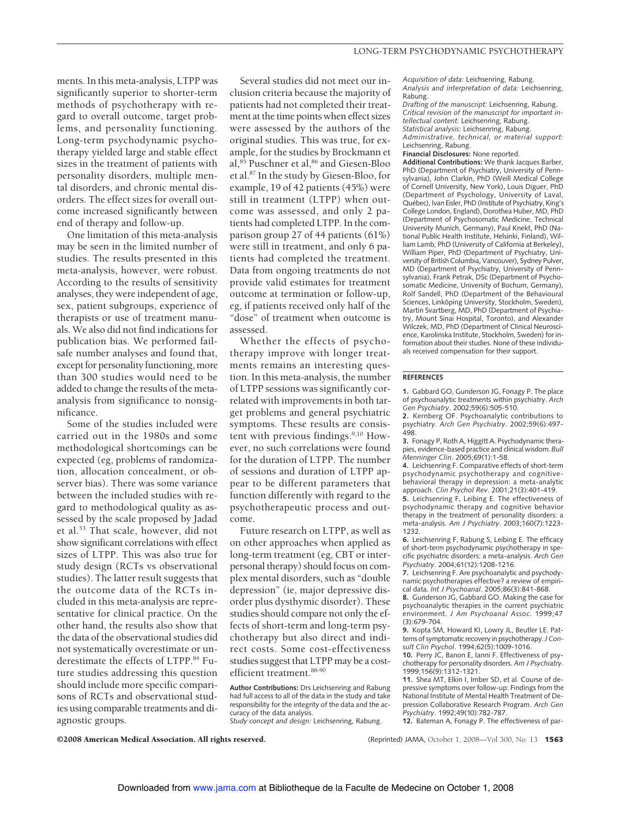ments. In this meta-analysis, LTPP was significantly superior to shorter-term methods of psychotherapy with regard to overall outcome, target problems, and personality functioning. Long-term psychodynamic psychotherapy yielded large and stable effect sizes in the treatment of patients with personality disorders, multiple mental disorders, and chronic mental disorders. The effect sizes for overall outcome increased significantly between end of therapy and follow-up.

One limitation of this meta-analysis may be seen in the limited number of studies. The results presented in this meta-analysis, however, were robust. According to the results of sensitivity analyses, they were independent of age, sex, patient subgroups, experience of therapists or use of treatment manuals. We also did not find indications for publication bias. We performed failsafe number analyses and found that, except for personality functioning, more than 300 studies would need to be added to change the results of the metaanalysis from significance to nonsignificance.

Some of the studies included were carried out in the 1980s and some methodological shortcomings can be expected (eg, problems of randomization, allocation concealment, or observer bias). There was some variance between the included studies with regard to methodological quality as assessed by the scale proposed by Jadad et al.53 That scale, however, did not show significant correlations with effect sizes of LTPP. This was also true for study design (RCTs vs observational studies). The latter result suggests that the outcome data of the RCTs included in this meta-analysis are representative for clinical practice. On the other hand, the results also show that the data of the observational studies did not systematically overestimate or underestimate the effects of LTPP.84 Future studies addressing this question should include more specific comparisons of RCTs and observational studies using comparable treatments and diagnostic groups.

Several studies did not meet our inclusion criteria because the majority of patients had not completed their treatment at the time points when effect sizes were assessed by the authors of the original studies. This was true, for example, for the studies by Brockmann et al, 85 Puschner et al, 86 and Giesen-Bloo et al.87 In the study by Giesen-Bloo, for example, 19 of 42 patients (45%) were still in treatment (LTPP) when outcome was assessed, and only 2 patients had completed LTPP. In the comparison group 27 of 44 patients (61%) were still in treatment, and only 6 patients had completed the treatment. Data from ongoing treatments do not provide valid estimates for treatment outcome at termination or follow-up, eg, if patients received only half of the "dose" of treatment when outcome is assessed.

Whether the effects of psychotherapy improve with longer treatments remains an interesting question. In this meta-analysis, the number of LTPP sessions was significantly correlated with improvements in both target problems and general psychiatric symptoms. These results are consistent with previous findings.<sup>9,10</sup> However, no such correlations were found for the duration of LTPP. The number of sessions and duration of LTPP appear to be different parameters that function differently with regard to the psychotherapeutic process and outcome.

Future research on LTPP, as well as on other approaches when applied as long-term treatment (eg, CBT or interpersonal therapy) should focus on complex mental disorders, such as "double depression" (ie, major depressive disorder plus dysthymic disorder). These studies should compare not only the effects of short-term and long-term psychotherapy but also direct and indirect costs. Some cost-effectiveness studies suggest that LTPP may be a costefficient treatment.<sup>88-90</sup>

**Author Contributions:** Drs Leichsenring and Rabung had full access to all of the data in the study and take responsibility for the integrity of the data and the accuracy of the data analysis. *Study concept and design:* Leichsenring, Rabung.

*Acquisition of data:* Leichsenring, Rabung. *Analysis and interpretation of data:* Leichsenring, Rabung.

*Drafting of the manuscript:* Leichsenring, Rabung. *Critical revision of the manuscript for important intellectual content:* Leichsenring, Rabung. *Statistical analysis:* Leichsenring, Rabung. *Administrative, technical, or material support:* Leichsenring, Rabung.

**Financial Disclosures:** None reported.

**Additional Contributions:** We thank Jacques Barber, PhD (Department of Psychiatry, University of Pennsylvania), John Clarkin, PhD (Weill Medical College of Cornell University, New York), Louis Diguer, PhD (Department of Psychology, University of Laval, Québec), Ivan Eisler, PhD (Institute of Psychiatry, King's College London, England), Dorothea Huber, MD, PhD (Department of Psychosomatic Medicine, Technical University Munich, Germany), Paul Knekt, PhD (National Public Health Institute, Helsinki, Finland), William Lamb, PhD (University of California at Berkeley), William Piper, PhD (Department of Psychiatry, University of British Columbia, Vancouver), Sydney Pulver, MD (Department of Psychiatry, University of Pennsylvania), Frank Petrak, DSc (Department of Psychosomatic Medicine, University of Bochum, Germany), Rolf Sandell, PhD (Department of the Behavioural Sciences, Linköping University, Stockholm, Sweden), Martin Svartberg, MD, PhD (Department of Psychiatry, Mount Sinai Hospital, Toronto), and Alexander Wilczek, MD, PhD (Department of Clinical Neuroscience, Karolinska Institute, Stockholm, Sweden) for information about their studies. None of these individuals received compensation for their support.

#### **REFERENCES**

**1.** Gabbard GO, Gunderson JG, Fonagy P. The place of psychoanalytic treatments within psychiatry. *Arch Gen Psychiatry*. 2002;59(6):505-510.

**2.** Kernberg OF. Psychoanalytic contributions to psychiatry. *Arch Gen Psychiatry*. 2002;59(6):497- 498.

**3.** Fonagy P, Roth A, Higgitt A. Psychodynamic therapies, evidence-based practice and clinical wisdom.*Bull Menninger Clin*. 2005;69(1):1-58.

**4.** Leichsenring F. Comparative effects of short-term psychodynamic psychotherapy and cognitivebehavioral therapy in depression: a meta-analytic approach. *Clin Psychol Rev*. 2001;21(3):401-419.

**5.** Leichsenring F, Leibing E. The effectiveness of psychodynamic therapy and cognitive behavior therapy in the treatment of personality disorders: a meta-analysis. *Am J Psychiatry*. 2003;160(7):1223- 1232.

**6.** Leichsenring F, Rabung S, Leibing E. The efficacy of short-term psychodynamic psychotherapy in specific psychiatric disorders: a meta-analysis. *Arch Gen Psychiatry*. 2004;61(12):1208-1216.

**7.** Leichsenring F. Are psychoanalytic and psychodynamic psychotherapies effective? a review of empirical data. *Int J Psychoanal*. 2005;86(3):841-868.

**8.** Gunderson JG, Gabbard GO. Making the case for psychoanalytic therapies in the current psychiatric environment. *J Am Psychoanal Assoc*. 1999;47 (3):679-704.

**9.** Kopta SM, Howard KI, Lowry JL, Beutler LE. Patterns of symptomatic recovery in psychotherapy.*J Consult Clin Psychol*. 1994;62(5):1009-1016.

**10.** Perry JC, Banon E, Ianni F. Effectiveness of psychotherapy for personality disorders.*Am J Psychiatry*. 1999;156(9):1312-1321.

**11.** Shea MT, Elkin I, Imber SD, et al. Course of depressive symptoms over follow-up: Findings from the National Institute of Mental Health Treatment of Depression Collaborative Research Program. *Arch Gen Psychiatry*. 1992;49(10):782-787. **12.** Bateman A, Fonagy P. The effectiveness of par-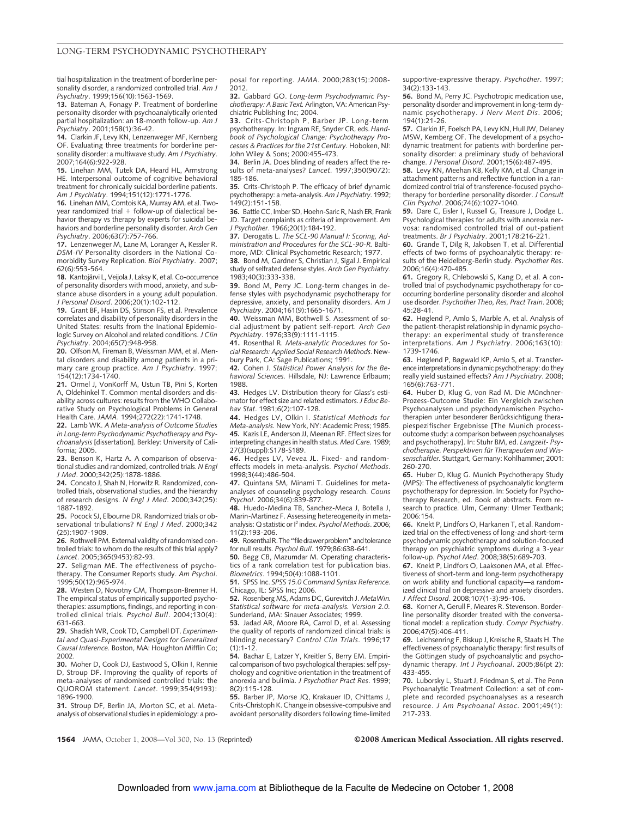tial hospitalization in the treatment of borderline personality disorder, a randomized controlled trial. *Am J Psychiatry*. 1999;156(10):1563-1569.

**13.** Bateman A, Fonagy P. Treatment of borderline personality disorder with psychoanalytically oriented partial hospitalization: an 18-month follow-up. *Am J Psychiatry*. 2001;158(1):36-42.

**14.** Clarkin JF, Levy KN, Lenzenweger MF, Kernberg OF. Evaluating three treatments for borderline personality disorder: a multiwave study. *Am J Psychiatry*. 2007;164(6):922-928.

**15.** Linehan MM, Tutek DA, Heard HL, Armstrong HE. Interpersonal outcome of cognitive behavioral treatment for chronically suicidal borderline patients. *Am J Psychiatry*. 1994;151(12):1771-1776.

**16.** Linehan MM, Comtois KA, Murray AM, et al. Twoyear randomized trial  $+$  follow-up of dialectical behavior therapy vs therapy by experts for suicidal behaviors and borderline personality disorder. *Arch Gen Psychiatry*. 2006;63(7):757-766.

**17.** Lenzenweger M, Lane M, Loranger A, Kessler R. *DSM-IV* Personality disorders in the National Comorbidity Survey Replication. *Biol Psychiatry*. 2007; 62(6):553-564.

**18.** Kantojärvi L, Veijola J, Laksy K, et al. Co-occurrence of personality disorders with mood, anxiety, and substance abuse disorders in a young adult population. *J Personal Disord*. 2006;20(1):102-112.

**19.** Grant BF, Hasin DS, Stinson FS, et al. Prevalence correlates and disability of personality disorders in the United States: results from the Inational Epidemiologic Survey on Alcohol and related conditions. *J Clin Psychiatry*. 2004;65(7):948-958.

**20.** Olfson M, Fireman B, Weissman MM, et al. Mental disorders and disability among patients in a primary care group practice. *Am J Psychiatry*. 1997; 154(12):1734-1740.

**21.** Ormel J, VonKorff M, Ustun TB, Pini S, Korten A, Oldehinkel T. Common mental disorders and disability across cultures: results from the WHO Collaborative Study on Psychological Problems in General Health Care. *JAMA*. 1994;272(22):1741-1748.

**22.** Lamb WK. *A Meta-analysis of Outcome Studies in Long-term Psychodynamic Psychotherapy and Psychoanalysis*[dissertation]*.* Berkley: University of California; 2005.

**23.** Benson K, Hartz A. A comparison of observational studies and randomized, controlled trials. *N Engl J Med*. 2000;342(25):1878-1886.

**24.** Concato J, Shah N, Horwitz R. Randomized, controlled trials, observational studies, and the hierarchy of research designs. *N Engl J Med*. 2000;342(25): 1887-1892.

**25.** Pocock SJ, Elbourne DR. Randomized trials or observational tribulations? *N Engl J Med*. 2000;342 (25):1907-1909.

**26.** Rothwell PM. External validity of randomised controlled trials: to whom do the results of this trial apply? *Lancet*. 2005;365(9453):82-93.

**27.** Seligman ME. The effectiveness of psychotherapy. The Consumer Reports study. *Am Psychol*. 1995;50(12):965-974.

**28.** Westen D, Novotny CM, Thompson-Brenner H. The empirical status of empirically supported psychotherapies: assumptions, findings, and reporting in controlled clinical trials. *Psychol Bull*. 2004;130(4): 631-663.

**29.** Shadish WR, Cook TD, Campbell DT. *Experimental and Quasi-Experimental Designs for Generalized Causal Inference.* Boston, MA: Houghton Mifflin Co; 2002.

**30.** Moher D, Cook DJ, Eastwood S, Olkin I, Rennie D, Stroup DF. Improving the quality of reports of meta-analyses of randomised controlled trials: the QUOROM statement. *Lancet*. 1999;354(9193): 1896-1900.

**31.** Stroup DF, Berlin JA, Morton SC, et al. Metaanalysis of observational studies in epidemiology: a proposal for reporting. *JAMA*. 2000;283(15):2008- 2012.

**32.** Gabbard GO. *Long-term Psychodynamic Psy-chotherapy: A Basic Text.*Arlington, VA: American Psychiatric Publishing Inc; 2004.

**33.** Crits-Christoph P, Barber JP. Long-term psychotherapy. In: Ingram RE, Snyder CR, eds. *Handbook of Psychological Change: Psychotherapy Processes & Practices for the 21st Century.* Hoboken, NJ: John Wiley & Sons; 2000:455-473.

**34.** Berlin JA. Does blinding of readers affect the results of meta-analyses? *Lancet*. 1997;350(9072): 185-186.

**35.** Crits-Christoph P. The efficacy of brief dynamic psychotherapy: a meta-analysis.*Am J Psychiatry*. 1992; 149(2):151-158.

**36.** Battle CC, Imber SD, Hoehn-Saric R, Nash ER, Frank JD. Target complaints as criteria of improvement. *Am J Psychother*. 1966;20(1):184-192.

**37.** Derogatis L. *The SCL-90 Manual I: Scoring, Administration and Procedures for the SCL-90-R.* Baltimore, MD: Clinical Psychometric Research; 1977.

**38.** Bond M, Gardner S, Christian J, Sigal J. Empirical study of selfrated defense styles. *Arch Gen Psychiatry*. 1983;40(3):333-338.

**39.** Bond M, Perry JC. Long-term changes in defense styles with psychodynamic psychotherapy for depressive, anxiety, and personality disorders. *Am J Psychiatry*. 2004;161(9):1665-1671.

**40.** Weissman MM, Bothwell S. Assessment of social adjustment by patient self-report. *Arch Gen Psychiatry*. 1976;33(9):1111-1115.

**41.** Rosenthal R. *Meta-analytic Procedures for Social Research: Applied Social Research Methods*. Newbury Park, CA: Sage Publications; 1991.

**42.** Cohen J. *Statistical Power Analysis for the Behavioral Sciences.* Hillsdale, NJ: Lawrence Erlbaum; 1988.

**43.** Hedges LV. Distribution theory for Glass's estimator for effect size and related estimators.*J Educ Behav Stat*. 1981;6(2):107-128.

**44.** Hedges LV, Olkin I. *Statistical Methods for Meta-analysis.* New York, NY: Academic Press; 1985. **45.** Kazis LE, Anderson JJ, Meenan RF. Effect sizes for interpreting changes in health status. *Med Care*. 1989; 27(3)(suppl):S178-S189.

**46.** Hedges LV, Vevea JL. Fixed- and randomeffects models in meta-analysis. *Psychol Methods*. 1998;3(44):486-504.

**47.** Quintana SM, Minami T. Guidelines for metaanalyses of counseling psychology research. *Couns Psychol*. 2006;34(6):839-877.

**48.** Huedo-Medina TB, Sanchez-Meca J, Botella J, Marin-Martinez F. Assessing hetereogeneity in metaanalysis: Q statistic or I2 index. *Psychol Methods*. 2006; 11(2):193-206.

**49.** RosenthalR.The"filedrawerproblem"and tolerance for null results. *Psychol Bull*. 1979;86:638-641.

**50.** Begg CB, Mazumdar M. Operating characteristics of a rank correlation test for publication bias. *Biometrics*. 1994;50(4):1088-1101.

**51.** SPSS Inc. *SPSS 15.0 Command Syntax Reference.* Chicago, IL: SPSS Inc; 2006.

**52.** Rosenberg MS, Adams DC, Gurevitch J. *MetaWin. Statistical software for meta-analysis. Version 2.0.* Sunderland, MA: Sinauer Associates; 1999.

**53.** Jadad AR, Moore RA, Carrol D, et al. Assessing the quality of reports of randomized clinical trials: is blinding necessary? *Control Clin Trials*. 1996;17  $(1):1-12.$ 

**54.** Bachar E, Latzer Y, Kreitler S, Berry EM. Empirical comparison of two psychological therapies: self psychology and cognitive orientation in the treatment of anorexia and bulimia. *J Psychother Pract Res*. 1999; 8(2):115-128.

**55.** Barber JP, Morse JQ, Krakauer ID, Chittams J, Crits-Christoph K. Change in obsessive-compulsive and avoidant personality disorders following time-limited supportive-expressive therapy. *Psychother*. 1997; 34(2):133-143.

**56.** Bond M, Perry JC. Psychotropic medication use, personality disorder and improvement in long-term dynamic psychotherapy. *J Nerv Ment Dis*. 2006; 194(1):21-26.

**57.** Clarkin JF, Foelsch PA, Levy KN, Hull JW, Delaney MSW, Kernberg OF. The development of a psychodynamic treatment for patients with borderline personality disorder: a preliminary study of behavioral change. *J Personal Disord*. 2001;15(6):487-495.

**58.** Levy KN, Meehan KB, Kelly KM, et al. Change in attachment patterns and reflective function in a randomized control trial of transference-focused psychotherapy for borderline personality disorder. *J Consult Clin Psychol*. 2006;74(6):1027-1040.

**59.** Dare C, Eisler I, Russell G, Treasure J, Dodge L. Psychological therapies for adults with anorexia nervosa: randomised controlled trial of out-patient treatments. *Br J Psychiatry*. 2001;178:216-221.

**60.** Grande T, Dilg R, Jakobsen T, et al. Differential effects of two forms of psychoanalytic therapy: results of the Heidelberg-Berlin study. *Psychother Res*. 2006;16(4):470-485.

**61.** Gregory R, Chlebowski S, Kang D, et al. A controlled trial of psychodynamic psychotherapy for cooccurring borderline personality disorder and alcohol use disorder. *Psychother Theo, Res, Pract Train*. 2008; 45:28-41.

**62.** Høglend P, Amlo S, Marble A, et al. Analysis of the patient-therapist relationship in dynamic psychotherapy: an experimental study of transference interpretations. *Am J Psychiatry*. 2006;163(10): 1739-1746.

**63.** Høglend P, Bøgwald KP, Amlo S, et al. Transference interpretations in dynamic psychotherapy: do they really yield sustained effects? *Am J Psychiatry*. 2008; 165(6):763-771.

**64.** Huber D, Klug G, von Rad M. Die Münchner-Prozess-Outcome Studie: Ein Vergleich zwischen Psychoanalysen und psychodynamischen Psychotherapien unter besonderer Berücksichtigung therapiespezifischer Ergebnisse [The Munich processoutcome study: a comparison between psychoanalyses and psychotherapy]. In: Stuhr BM, ed. *Langzeit- Psychotherapie. Perspektiven für Therapeuten und Wissenschaftler.* Stuttgart, Germany: Kohlhammer; 2001: 260-270.

**65.** Huber D, Klug G. Munich Psychotherapy Study (MPS): The effectiveness of psychoanalytic longterm psychotherapy for depression. In: Society for Psychotherapy Research, ed. Book of abstracts. From research to practice*.* Ulm, Germany: Ulmer Textbank; 2006:154.

**66.** Knekt P, Lindfors O, Harkanen T, et al. Randomized trial on the effectiveness of long-and short-term psychodynamic psychotherapy and solution-focused therapy on psychiatric symptoms during a 3-year follow-up. *Psychol Med*. 2008;38(5):689-703.

**67.** Knekt P, Lindfors O, Laaksonen MA, et al. Effectiveness of short-term and long-term psychotherapy on work ability and functional capacity—a randomized clinical trial on depressive and anxiety disorders. *J Affect Disord*. 2008;107(1-3):95-106.

**68.** Korner A, Gerull F, Meares R. Stevenson. Borderline personality disorder treated with the conversational model: a replication study. *Compr Psychiatry*. 2006;47(5):406-411.

**69.** Leichsenring F, Biskup J, Kreische R, Staats H. The effectiveness of psychoanalytic therapy: first results of the Göttingen study of psychoanalytic and psychodynamic therapy. *Int J Psychoanal*. 2005;86(pt 2): 433-455.

**70.** Luborsky L, Stuart J, Friedman S, et al. The Penn Psychoanalytic Treatment Collection: a set of complete and recorded psychoanalyses as a research resource. *J Am Psychoanal Assoc*. 2001;49(1): 217-233.